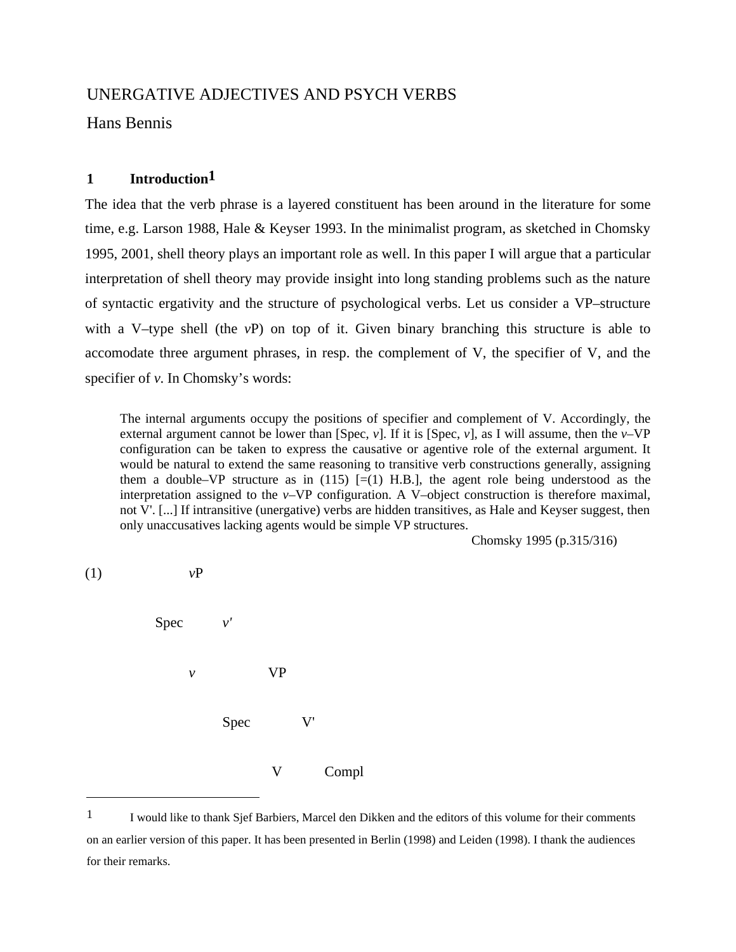# UNERGATIVE ADJECTIVES AND PSYCH VERBS

Hans Bennis

# **1 Introduction1**

The idea that the verb phrase is a layered constituent has been around in the literature for some time, e.g. Larson 1988, Hale & Keyser 1993. In the minimalist program, as sketched in Chomsky 1995, 2001, shell theory plays an important role as well. In this paper I will argue that a particular interpretation of shell theory may provide insight into long standing problems such as the nature of syntactic ergativity and the structure of psychological verbs. Let us consider a VP–structure with a V–type shell (the *v*P) on top of it. Given binary branching this structure is able to accomodate three argument phrases, in resp. the complement of V, the specifier of V, and the specifier of *v*. In Chomsky's words:

The internal arguments occupy the positions of specifier and complement of V. Accordingly, the external argument cannot be lower than [Spec, *v*]. If it is [Spec, *v*], as I will assume, then the *v*–VP configuration can be taken to express the causative or agentive role of the external argument. It would be natural to extend the same reasoning to transitive verb constructions generally, assigning them a double–VP structure as in  $(115)$  [=(1) H.B.], the agent role being understood as the interpretation assigned to the *v*–VP configuration. A V–object construction is therefore maximal, not V'. [...] If intransitive (unergative) verbs are hidden transitives, as Hale and Keyser suggest, then only unaccusatives lacking agents would be simple VP structures.

Chomsky 1995 (p.315/316)



<sup>1</sup> I would like to thank Sjef Barbiers, Marcel den Dikken and the editors of this volume for their comments on an earlier version of this paper. It has been presented in Berlin (1998) and Leiden (1998). I thank the audiences for their remarks.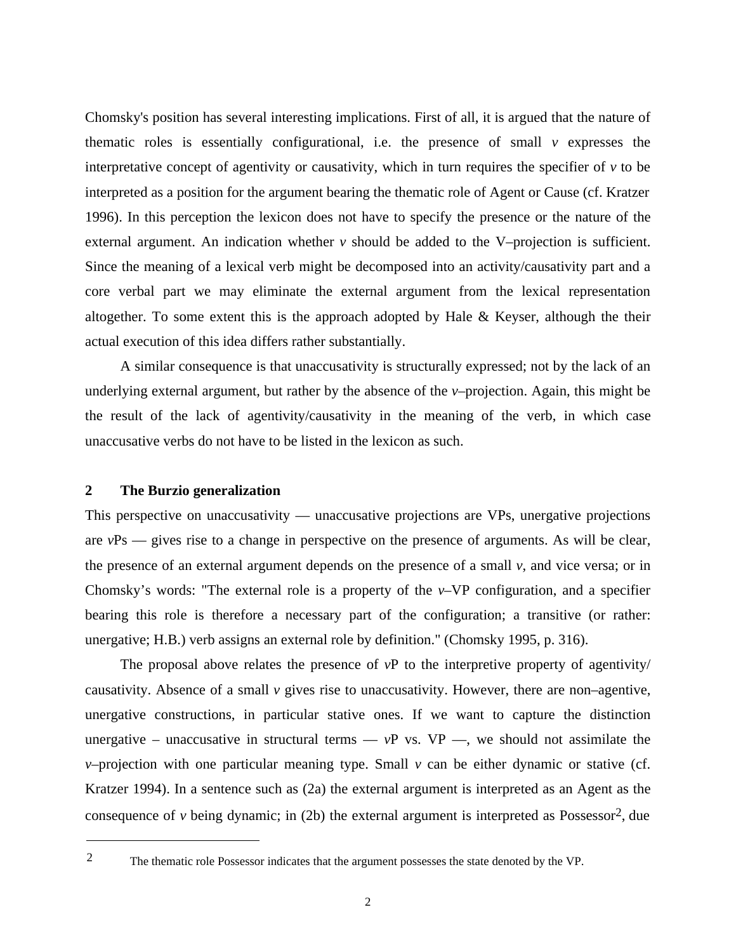Chomsky's position has several interesting implications. First of all, it is argued that the nature of thematic roles is essentially configurational, i.e. the presence of small  $\nu$  expresses the interpretative concept of agentivity or causativity, which in turn requires the specifier of *v* to be interpreted as a position for the argument bearing the thematic role of Agent or Cause (cf. Kratzer 1996). In this perception the lexicon does not have to specify the presence or the nature of the external argument. An indication whether  $\nu$  should be added to the V-projection is sufficient. Since the meaning of a lexical verb might be decomposed into an activity/causativity part and a core verbal part we may eliminate the external argument from the lexical representation altogether. To some extent this is the approach adopted by Hale  $\&$  Keyser, although the their actual execution of this idea differs rather substantially.

A similar consequence is that unaccusativity is structurally expressed; not by the lack of an underlying external argument, but rather by the absence of the *v*–projection. Again, this might be the result of the lack of agentivity/causativity in the meaning of the verb, in which case unaccusative verbs do not have to be listed in the lexicon as such.

#### **2 The Burzio generalization**

This perspective on unaccusativity — unaccusative projections are VPs, unergative projections are *v*Ps — gives rise to a change in perspective on the presence of arguments. As will be clear, the presence of an external argument depends on the presence of a small *v*, and vice versa; or in Chomsky's words: "The external role is a property of the *v*–VP configuration, and a specifier bearing this role is therefore a necessary part of the configuration; a transitive (or rather: unergative; H.B.) verb assigns an external role by definition." (Chomsky 1995, p. 316).

The proposal above relates the presence of *v*P to the interpretive property of agentivity/ causativity. Absence of a small *v* gives rise to unaccusativity. However, there are non–agentive, unergative constructions, in particular stative ones. If we want to capture the distinction unergative – unaccusative in structural terms —  $vP$  vs.  $VP$  —, we should not assimilate the *v*–projection with one particular meaning type. Small *v* can be either dynamic or stative (cf. Kratzer 1994). In a sentence such as (2a) the external argument is interpreted as an Agent as the consequence of  $\nu$  being dynamic; in (2b) the external argument is interpreted as Possessor<sup>2</sup>, due

l

<sup>&</sup>lt;sup>2</sup> The thematic role Possessor indicates that the argument possesses the state denoted by the VP.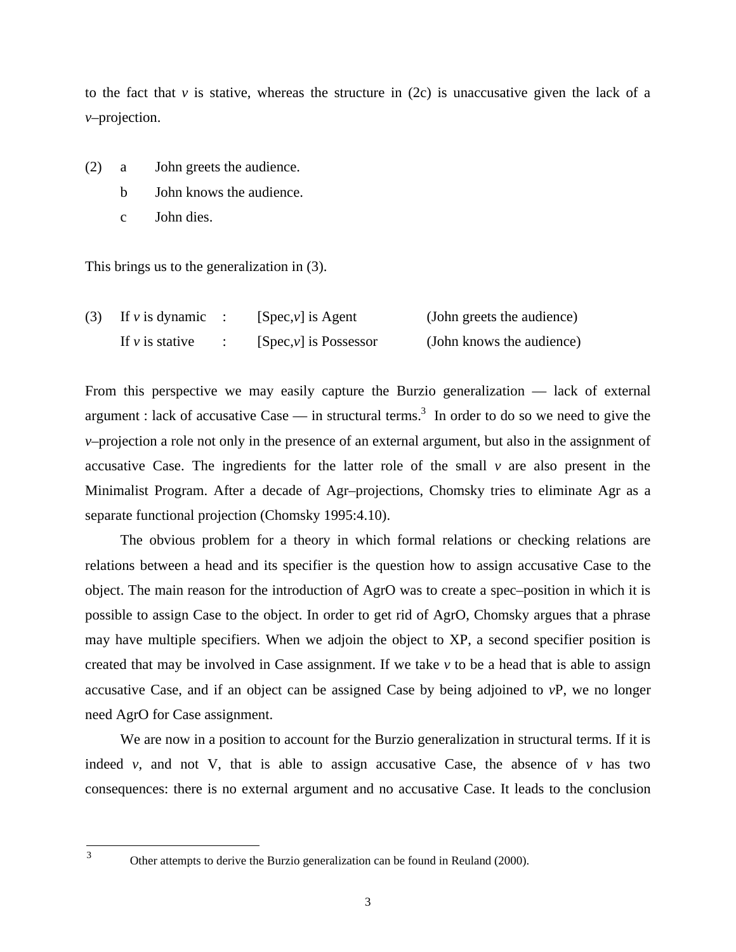to the fact that *v* is stative, whereas the structure in (2c) is unaccusative given the lack of a *v*–projection.

- (2) a John greets the audience.
	- b John knows the audience.
	- c John dies.

This brings us to the generalization in (3).

| (3) | If $\nu$ is dynamic : |  | $[Spec, v]$ is Agent     | (John greets the audience) |  |
|-----|-----------------------|--|--------------------------|----------------------------|--|
|     | If $\nu$ is stative   |  | $[Spec, v]$ is Possessor | (John knows the audience)  |  |

From this perspective we may easily capture the Burzio generalization — lack of external argument : lack of accusative Case  $-$  in structural terms.<sup>3</sup> In order to do so we need to give the *v*–projection a role not only in the presence of an external argument, but also in the assignment of accusative Case. The ingredients for the latter role of the small  $\nu$  are also present in the Minimalist Program. After a decade of Agr–projections, Chomsky tries to eliminate Agr as a separate functional projection (Chomsky 1995:4.10).

The obvious problem for a theory in which formal relations or checking relations are relations between a head and its specifier is the question how to assign accusative Case to the object. The main reason for the introduction of AgrO was to create a spec–position in which it is possible to assign Case to the object. In order to get rid of AgrO, Chomsky argues that a phrase may have multiple specifiers. When we adjoin the object to XP, a second specifier position is created that may be involved in Case assignment. If we take *v* to be a head that is able to assign accusative Case, and if an object can be assigned Case by being adjoined to *v*P, we no longer need AgrO for Case assignment.

We are now in a position to account for the Burzio generalization in structural terms. If it is indeed  $v$ , and not V, that is able to assign accusative Case, the absence of  $v$  has two consequences: there is no external argument and no accusative Case. It leads to the conclusion

3

Other attempts to derive the Burzio generalization can be found in Reuland (2000).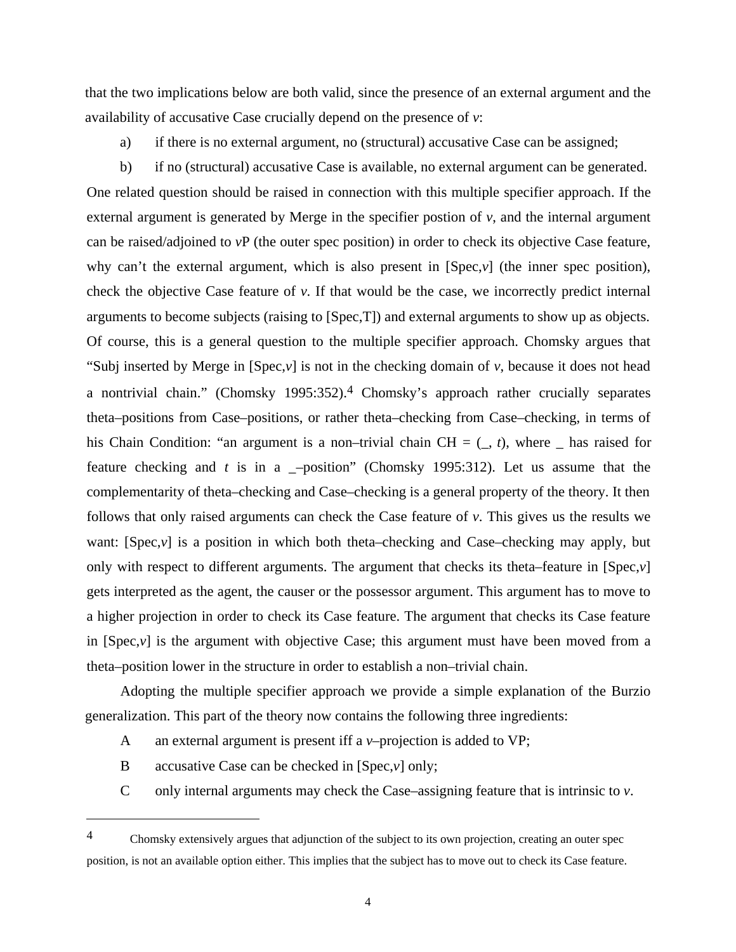that the two implications below are both valid, since the presence of an external argument and the availability of accusative Case crucially depend on the presence of *v*:

a) if there is no external argument, no (structural) accusative Case can be assigned;

b) if no (structural) accusative Case is available, no external argument can be generated. One related question should be raised in connection with this multiple specifier approach. If the external argument is generated by Merge in the specifier postion of *v*, and the internal argument can be raised/adjoined to *v*P (the outer spec position) in order to check its objective Case feature, why can't the external argument, which is also present in [Spec,*v*] (the inner spec position), check the objective Case feature of *v*. If that would be the case, we incorrectly predict internal arguments to become subjects (raising to [Spec,T]) and external arguments to show up as objects. Of course, this is a general question to the multiple specifier approach. Chomsky argues that "Subj inserted by Merge in [Spec,*v*] is not in the checking domain of *v*, because it does not head a nontrivial chain." (Chomsky 1995:352).4 Chomsky's approach rather crucially separates theta–positions from Case–positions, or rather theta–checking from Case–checking, in terms of his Chain Condition: "an argument is a non–trivial chain CH =  $($ , *t*), where  $\Box$  has raised for feature checking and *t* is in a \_–position" (Chomsky 1995:312). Let us assume that the complementarity of theta–checking and Case–checking is a general property of the theory. It then follows that only raised arguments can check the Case feature of *v*. This gives us the results we want: [Spec,*v*] is a position in which both theta–checking and Case–checking may apply, but only with respect to different arguments. The argument that checks its theta–feature in [Spec,*v*] gets interpreted as the agent, the causer or the possessor argument. This argument has to move to a higher projection in order to check its Case feature. The argument that checks its Case feature in  $[Spec, v]$  is the argument with objective Case; this argument must have been moved from a theta–position lower in the structure in order to establish a non–trivial chain.

Adopting the multiple specifier approach we provide a simple explanation of the Burzio generalization. This part of the theory now contains the following three ingredients:

- A an external argument is present iff a *v*-projection is added to VP;
- B accusative Case can be checked in [Spec,*v*] only;

l

C only internal arguments may check the Case–assigning feature that is intrinsic to *v*.

<sup>4</sup> Chomsky extensively argues that adjunction of the subject to its own projection, creating an outer spec position, is not an available option either. This implies that the subject has to move out to check its Case feature.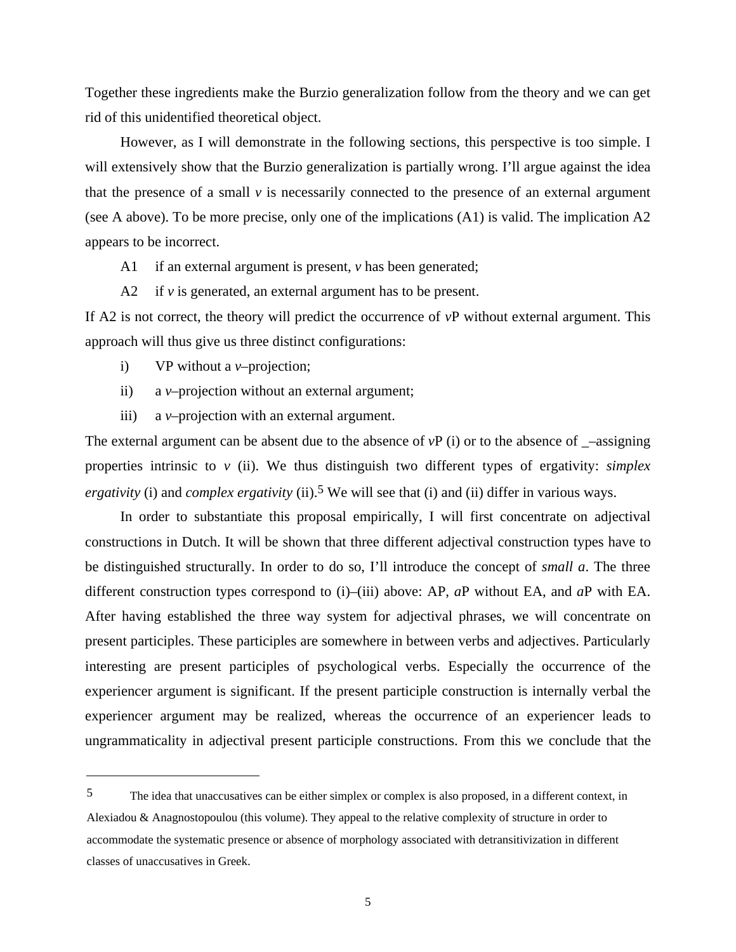Together these ingredients make the Burzio generalization follow from the theory and we can get rid of this unidentified theoretical object.

However, as I will demonstrate in the following sections, this perspective is too simple. I will extensively show that the Burzio generalization is partially wrong. I'll argue against the idea that the presence of a small  $\nu$  is necessarily connected to the presence of an external argument (see A above). To be more precise, only one of the implications (A1) is valid. The implication A2 appears to be incorrect.

A1 if an external argument is present, *v* has been generated;

A2 if *v* is generated, an external argument has to be present.

If A2 is not correct, the theory will predict the occurrence of *v*P without external argument. This approach will thus give us three distinct configurations:

i) VP without a *v*–projection;

l

- ii) a *v*–projection without an external argument;
- iii) a *v*–projection with an external argument.

The external argument can be absent due to the absence of  $vP$  (i) or to the absence of  $\_\text{assigning}$ properties intrinsic to *v* (ii). We thus distinguish two different types of ergativity: *simplex ergativity* (i) and *complex ergativity* (ii).5 We will see that (i) and (ii) differ in various ways.

In order to substantiate this proposal empirically, I will first concentrate on adjectival constructions in Dutch. It will be shown that three different adjectival construction types have to be distinguished structurally. In order to do so, I'll introduce the concept of *small a*. The three different construction types correspond to (i)–(iii) above: AP, *a*P without EA, and *a*P with EA. After having established the three way system for adjectival phrases, we will concentrate on present participles. These participles are somewhere in between verbs and adjectives. Particularly interesting are present participles of psychological verbs. Especially the occurrence of the experiencer argument is significant. If the present participle construction is internally verbal the experiencer argument may be realized, whereas the occurrence of an experiencer leads to ungrammaticality in adjectival present participle constructions. From this we conclude that the

<sup>5</sup> The idea that unaccusatives can be either simplex or complex is also proposed, in a different context, in Alexiadou & Anagnostopoulou (this volume). They appeal to the relative complexity of structure in order to accommodate the systematic presence or absence of morphology associated with detransitivization in different classes of unaccusatives in Greek.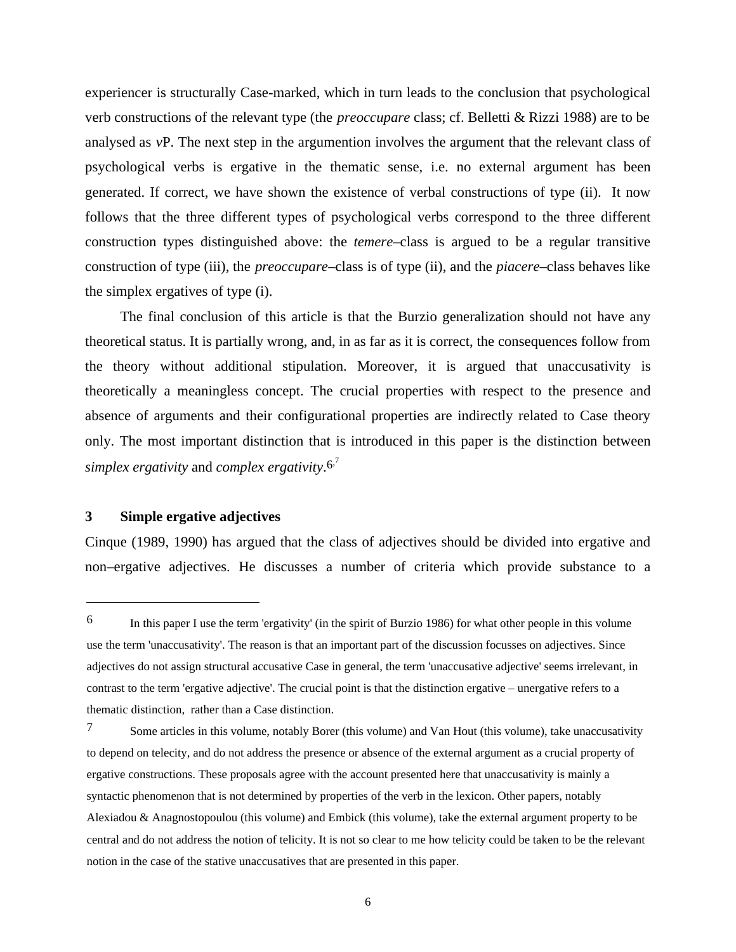experiencer is structurally Case-marked, which in turn leads to the conclusion that psychological verb constructions of the relevant type (the *preoccupare* class; cf. Belletti & Rizzi 1988) are to be analysed as *v*P. The next step in the argumention involves the argument that the relevant class of psychological verbs is ergative in the thematic sense, i.e. no external argument has been generated. If correct, we have shown the existence of verbal constructions of type (ii). It now follows that the three different types of psychological verbs correspond to the three different construction types distinguished above: the *temere*–class is argued to be a regular transitive construction of type (iii), the *preoccupare*–class is of type (ii), and the *piacere*–class behaves like the simplex ergatives of type (i).

The final conclusion of this article is that the Burzio generalization should not have any theoretical status. It is partially wrong, and, in as far as it is correct, the consequences follow from the theory without additional stipulation. Moreover, it is argued that unaccusativity is theoretically a meaningless concept. The crucial properties with respect to the presence and absence of arguments and their configurational properties are indirectly related to Case theory only. The most important distinction that is introduced in this paper is the distinction between *simplex ergativity* and *complex ergativity*. 6, 7

#### **3 Simple ergative adjectives**

l

Cinque (1989, 1990) has argued that the class of adjectives should be divided into ergative and non–ergative adjectives. He discusses a number of criteria which provide substance to a

<sup>&</sup>lt;sup>6</sup> In this paper I use the term 'ergativity' (in the spirit of Burzio 1986) for what other people in this volume use the term 'unaccusativity'. The reason is that an important part of the discussion focusses on adjectives. Since adjectives do not assign structural accusative Case in general, the term 'unaccusative adjective' seems irrelevant, in contrast to the term 'ergative adjective'. The crucial point is that the distinction ergative – unergative refers to a thematic distinction, rather than a Case distinction.

<sup>7</sup> Some articles in this volume, notably Borer (this volume) and Van Hout (this volume), take unaccusativity to depend on telecity, and do not address the presence or absence of the external argument as a crucial property of ergative constructions. These proposals agree with the account presented here that unaccusativity is mainly a syntactic phenomenon that is not determined by properties of the verb in the lexicon. Other papers, notably Alexiadou & Anagnostopoulou (this volume) and Embick (this volume), take the external argument property to be central and do not address the notion of telicity. It is not so clear to me how telicity could be taken to be the relevant notion in the case of the stative unaccusatives that are presented in this paper.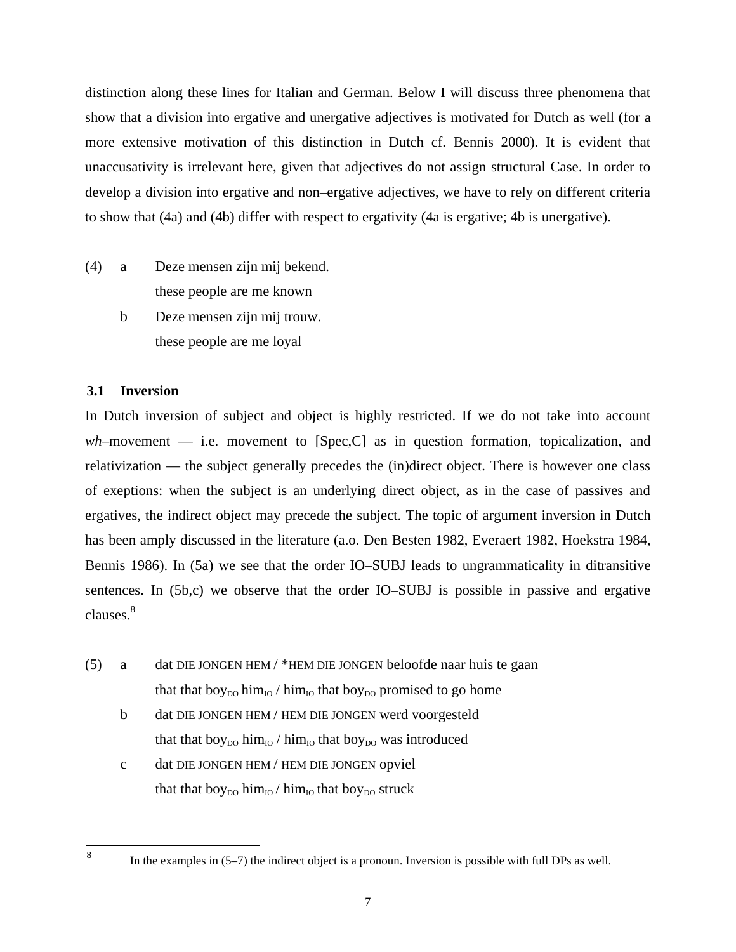distinction along these lines for Italian and German. Below I will discuss three phenomena that show that a division into ergative and unergative adjectives is motivated for Dutch as well (for a more extensive motivation of this distinction in Dutch cf. Bennis 2000). It is evident that unaccusativity is irrelevant here, given that adjectives do not assign structural Case. In order to develop a division into ergative and non–ergative adjectives, we have to rely on different criteria to show that (4a) and (4b) differ with respect to ergativity (4a is ergative; 4b is unergative).

- (4) a Deze mensen zijn mij bekend. these people are me known
	- b Deze mensen zijn mij trouw. these people are me loyal

# **3.1 Inversion**

In Dutch inversion of subject and object is highly restricted. If we do not take into account *wh*–movement — i.e. movement to [Spec,C] as in question formation, topicalization, and relativization — the subject generally precedes the (in)direct object. There is however one class of exeptions: when the subject is an underlying direct object, as in the case of passives and ergatives, the indirect object may precede the subject. The topic of argument inversion in Dutch has been amply discussed in the literature (a.o. Den Besten 1982, Everaert 1982, Hoekstra 1984, Bennis 1986). In (5a) we see that the order IO–SUBJ leads to ungrammaticality in ditransitive sentences. In (5b,c) we observe that the order IO–SUBJ is possible in passive and ergative clauses.<sup>8</sup>

- (5) a dat DIE JONGEN HEM / \*HEM DIE JONGEN beloofde naar huis te gaan that that boy<sub>DO</sub> him<sub>IO</sub> / him<sub>IO</sub> that boy<sub>DO</sub> promised to go home
	- b dat DIE JONGEN HEM / HEM DIE JONGEN werd voorgesteld that that boy<sub>DO</sub> him<sub>IO</sub> / him<sub>IO</sub> that boy<sub>DO</sub> was introduced
	- c dat DIE JONGEN HEM / HEM DIE JONGEN opviel that that boy<sub>DO</sub> him<sub>IO</sub> / him<sub>IO</sub> that boy<sub>DO</sub> struck

8

In the examples in (5–7) the indirect object is a pronoun. Inversion is possible with full DPs as well.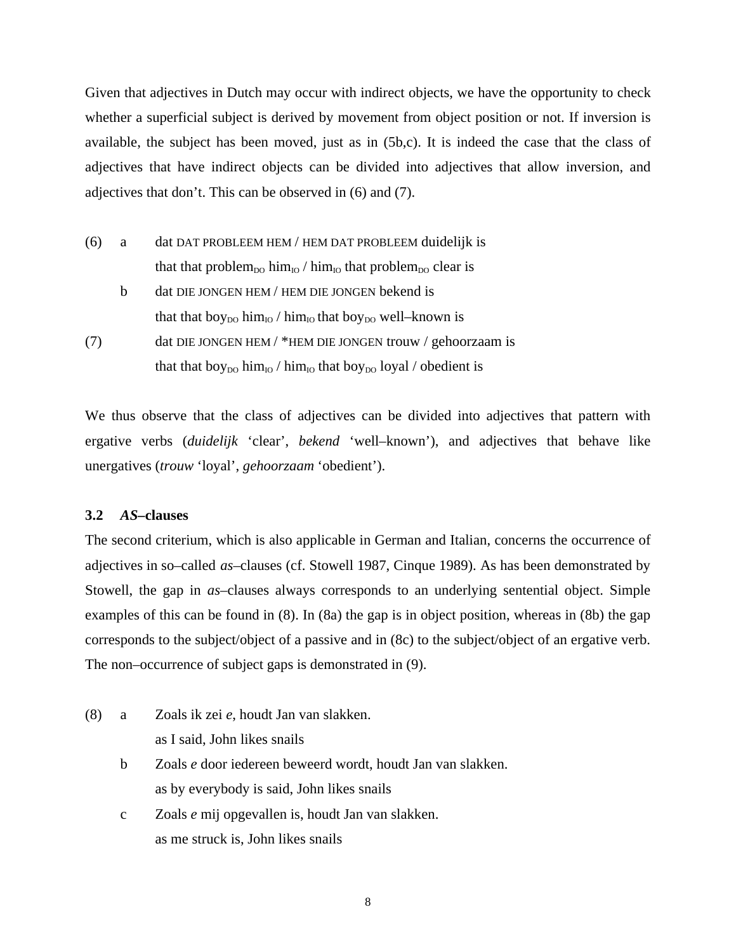Given that adjectives in Dutch may occur with indirect objects, we have the opportunity to check whether a superficial subject is derived by movement from object position or not. If inversion is available, the subject has been moved, just as in (5b,c). It is indeed the case that the class of adjectives that have indirect objects can be divided into adjectives that allow inversion, and adjectives that don't. This can be observed in (6) and (7).

- (6) a dat DAT PROBLEEM HEM / HEM DAT PROBLEEM duidelijk is that that problem<sub>po</sub> him<sub>IO</sub> / him<sub>IO</sub> that problem<sub>po</sub> clear is
	- b dat DIE JONGEN HEM / HEM DIE JONGEN bekend is that that boy<sub>DO</sub> him<sub>IO</sub> / him<sub>IO</sub> that boy<sub>DO</sub> well–known is
- (7) dat DIE JONGEN HEM / \*HEM DIE JONGEN trouw / gehoorzaam is that that boy<sub>DO</sub> him<sub>IO</sub> / him<sub>IO</sub> that boy<sub>DO</sub> loyal / obedient is

We thus observe that the class of adjectives can be divided into adjectives that pattern with ergative verbs (*duidelijk* 'clear', *bekend* 'well–known'), and adjectives that behave like unergatives (*trouw* 'loyal', *gehoorzaam* 'obedient').

### **3.2** *AS–***clauses**

The second criterium, which is also applicable in German and Italian, concerns the occurrence of adjectives in so–called *as*–clauses (cf. Stowell 1987, Cinque 1989). As has been demonstrated by Stowell, the gap in *as*–clauses always corresponds to an underlying sentential object. Simple examples of this can be found in (8). In (8a) the gap is in object position, whereas in (8b) the gap corresponds to the subject/object of a passive and in (8c) to the subject/object of an ergative verb. The non–occurrence of subject gaps is demonstrated in (9).

- (8) a Zoals ik zei *e*, houdt Jan van slakken. as I said, John likes snails
	- b Zoals *e* door iedereen beweerd wordt, houdt Jan van slakken. as by everybody is said, John likes snails
	- c Zoals *e* mij opgevallen is, houdt Jan van slakken. as me struck is, John likes snails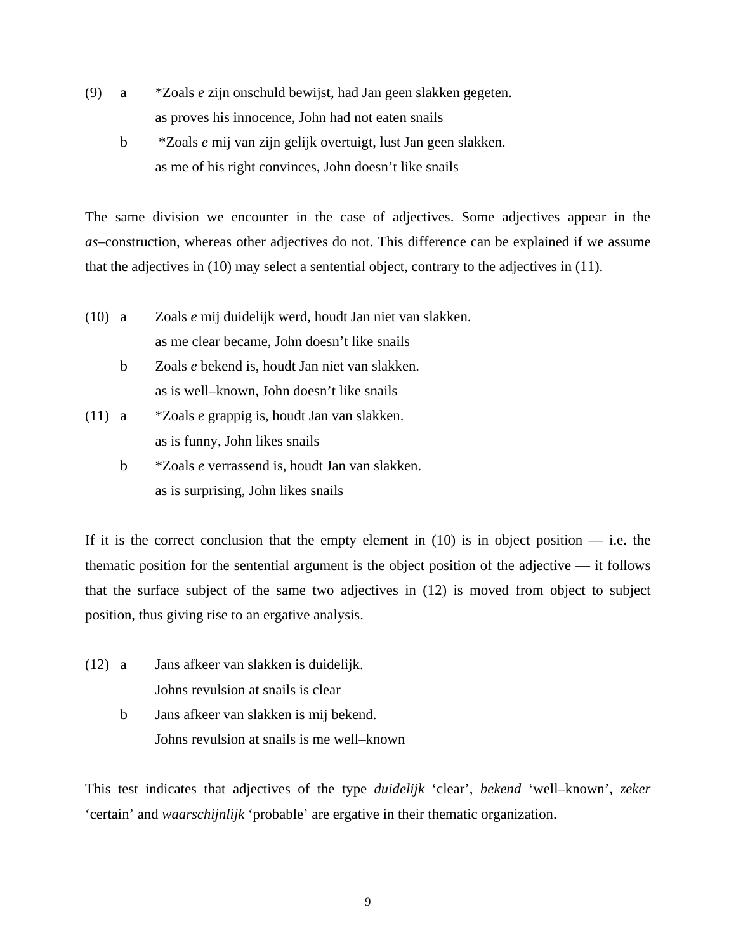- (9) a \*Zoals *e* zijn onschuld bewijst, had Jan geen slakken gegeten. as proves his innocence, John had not eaten snails
	- b \*Zoals *e* mij van zijn gelijk overtuigt, lust Jan geen slakken. as me of his right convinces, John doesn't like snails

The same division we encounter in the case of adjectives. Some adjectives appear in the *as*–construction, whereas other adjectives do not. This difference can be explained if we assume that the adjectives in (10) may select a sentential object, contrary to the adjectives in (11).

- (10) a Zoals *e* mij duidelijk werd, houdt Jan niet van slakken. as me clear became, John doesn't like snails
	- b Zoals *e* bekend is, houdt Jan niet van slakken. as is well–known, John doesn't like snails
- (11) a \*Zoals *e* grappig is, houdt Jan van slakken. as is funny, John likes snails
	- b \*Zoals *e* verrassend is, houdt Jan van slakken. as is surprising, John likes snails

If it is the correct conclusion that the empty element in  $(10)$  is in object position — i.e. the thematic position for the sentential argument is the object position of the adjective — it follows that the surface subject of the same two adjectives in (12) is moved from object to subject position, thus giving rise to an ergative analysis.

- (12) a Jans afkeer van slakken is duidelijk. Johns revulsion at snails is clear
	- b Jans afkeer van slakken is mij bekend. Johns revulsion at snails is me well–known

This test indicates that adjectives of the type *duidelijk* 'clear', *bekend* 'well–known', *zeker* 'certain' and *waarschijnlijk* 'probable' are ergative in their thematic organization.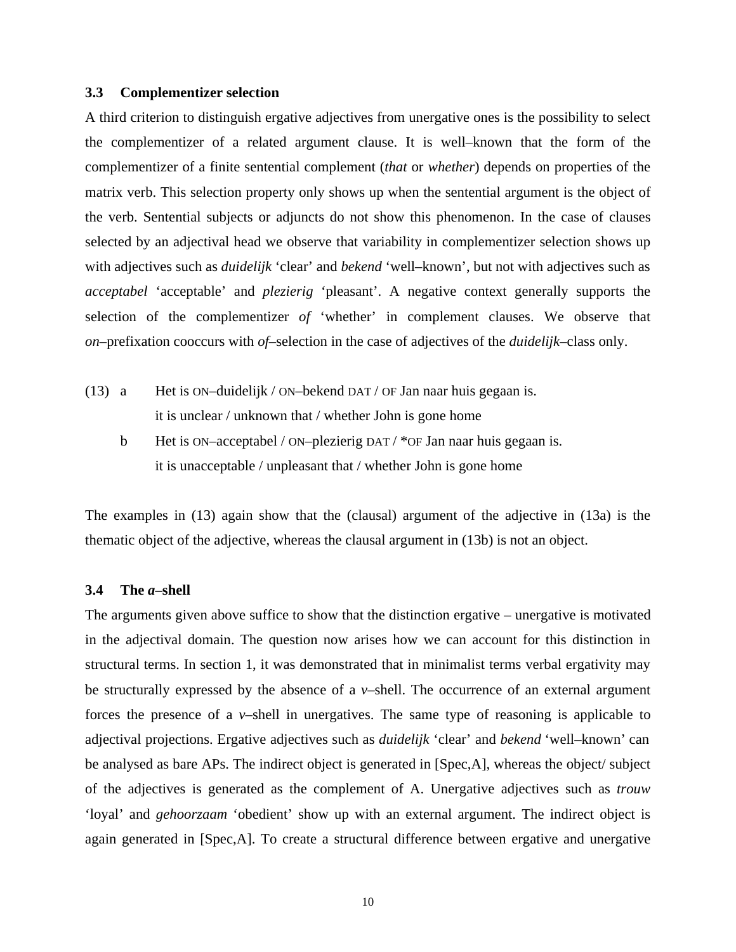#### **3.3 Complementizer selection**

A third criterion to distinguish ergative adjectives from unergative ones is the possibility to select the complementizer of a related argument clause. It is well–known that the form of the complementizer of a finite sentential complement (*that* or *whether*) depends on properties of the matrix verb. This selection property only shows up when the sentential argument is the object of the verb. Sentential subjects or adjuncts do not show this phenomenon. In the case of clauses selected by an adjectival head we observe that variability in complementizer selection shows up with adjectives such as *duidelijk* 'clear' and *bekend* 'well–known', but not with adjectives such as *acceptabel* 'acceptable' and *plezierig* 'pleasant'. A negative context generally supports the selection of the complementizer *of* 'whether' in complement clauses. We observe that *on*–prefixation cooccurs with *of*–selection in the case of adjectives of the *duidelijk*–class only.

- (13) a Het is ON–duidelijk / ON–bekend DAT / OF Jan naar huis gegaan is. it is unclear / unknown that / whether John is gone home
	- b Het is ON–acceptabel / ON–plezierig DAT / \*OF Jan naar huis gegaan is. it is unacceptable / unpleasant that / whether John is gone home

The examples in (13) again show that the (clausal) argument of the adjective in (13a) is the thematic object of the adjective, whereas the clausal argument in (13b) is not an object.

#### **3.4 The** *a***–shell**

The arguments given above suffice to show that the distinction ergative – unergative is motivated in the adjectival domain. The question now arises how we can account for this distinction in structural terms. In section 1, it was demonstrated that in minimalist terms verbal ergativity may be structurally expressed by the absence of a *v*–shell. The occurrence of an external argument forces the presence of a *v*–shell in unergatives. The same type of reasoning is applicable to adjectival projections. Ergative adjectives such as *duidelijk* 'clear' and *bekend* 'well–known' can be analysed as bare APs. The indirect object is generated in [Spec,A], whereas the object/ subject of the adjectives is generated as the complement of A. Unergative adjectives such as *trouw* 'loyal' and *gehoorzaam* 'obedient' show up with an external argument. The indirect object is again generated in [Spec,A]. To create a structural difference between ergative and unergative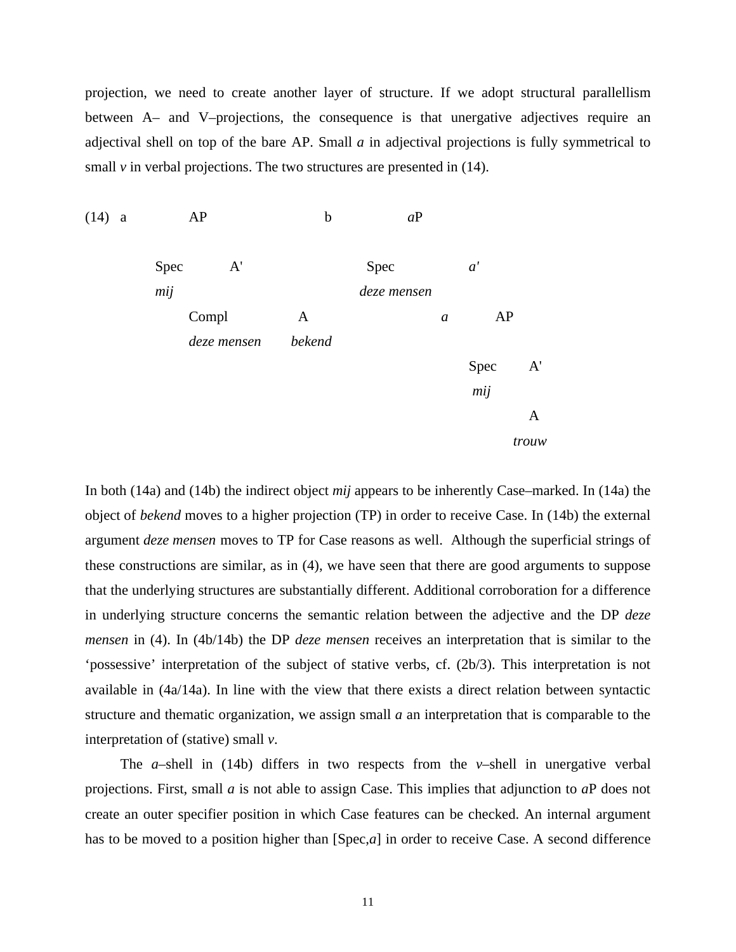projection, we need to create another layer of structure. If we adopt structural parallellism between A– and V–projections, the consequence is that unergative adjectives require an adjectival shell on top of the bare AP. Small *a* in adjectival projections is fully symmetrical to small  $\nu$  in verbal projections. The two structures are presented in (14).



In both (14a) and (14b) the indirect object *mij* appears to be inherently Case–marked. In (14a) the object of *bekend* moves to a higher projection (TP) in order to receive Case. In (14b) the external argument *deze mensen* moves to TP for Case reasons as well. Although the superficial strings of these constructions are similar, as in (4), we have seen that there are good arguments to suppose that the underlying structures are substantially different. Additional corroboration for a difference in underlying structure concerns the semantic relation between the adjective and the DP *deze mensen* in (4). In (4b/14b) the DP *deze mensen* receives an interpretation that is similar to the 'possessive' interpretation of the subject of stative verbs, cf. (2b/3). This interpretation is not available in (4a/14a). In line with the view that there exists a direct relation between syntactic structure and thematic organization, we assign small *a* an interpretation that is comparable to the interpretation of (stative) small *v*.

The *a*–shell in (14b) differs in two respects from the *v*–shell in unergative verbal projections. First, small *a* is not able to assign Case. This implies that adjunction to *a*P does not create an outer specifier position in which Case features can be checked. An internal argument has to be moved to a position higher than [Spec,*a*] in order to receive Case. A second difference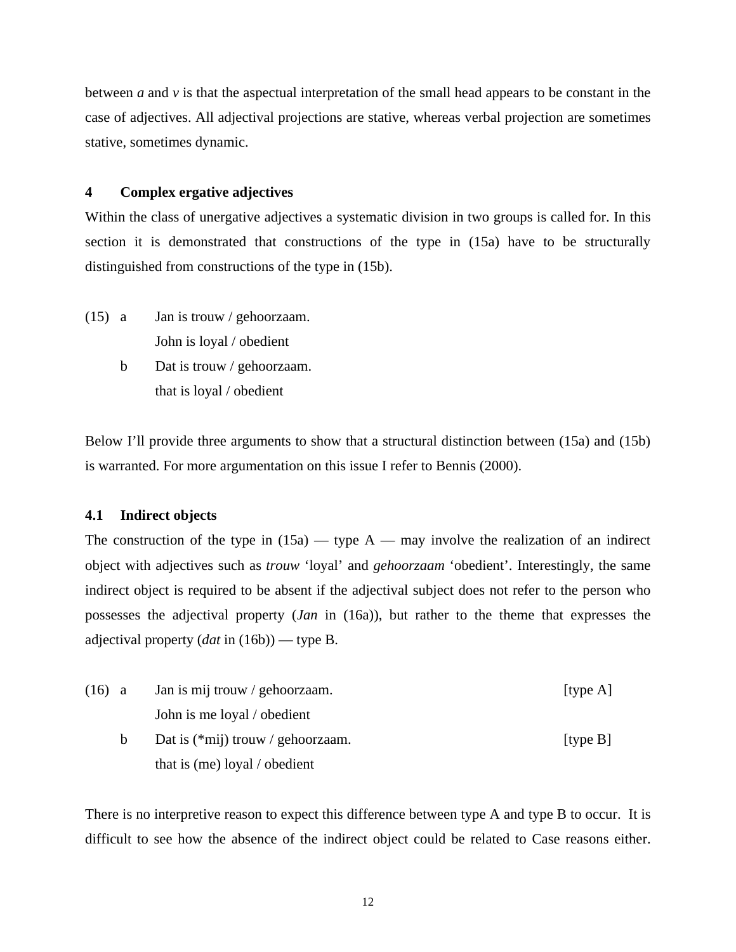between *a* and *v* is that the aspectual interpretation of the small head appears to be constant in the case of adjectives. All adjectival projections are stative, whereas verbal projection are sometimes stative, sometimes dynamic.

#### **4 Complex ergative adjectives**

Within the class of unergative adjectives a systematic division in two groups is called for. In this section it is demonstrated that constructions of the type in (15a) have to be structurally distinguished from constructions of the type in (15b).

- (15) a Jan is trouw / gehoorzaam. John is loyal / obedient
	- b Dat is trouw / gehoorzaam. that is loyal / obedient

Below I'll provide three arguments to show that a structural distinction between (15a) and (15b) is warranted. For more argumentation on this issue I refer to Bennis (2000).

### **4.1 Indirect objects**

The construction of the type in  $(15a)$  — type A — may involve the realization of an indirect object with adjectives such as *trouw* 'loyal' and *gehoorzaam* 'obedient'. Interestingly, the same indirect object is required to be absent if the adjectival subject does not refer to the person who possesses the adjectival property (*Jan* in (16a)), but rather to the theme that expresses the adjectival property (*dat* in (16b)) — type B.

| $(16)$ a |    | Jan is mij trouw / gehoorzaam.       | [type $A$ ] |
|----------|----|--------------------------------------|-------------|
|          |    | John is me loyal / obedient          |             |
|          | b. | Dat is $(*mi)$ trouw / gehoorzaam.   | [type $B$ ] |
|          |    | that is (me) loyal $\prime$ obedient |             |

There is no interpretive reason to expect this difference between type A and type B to occur. It is difficult to see how the absence of the indirect object could be related to Case reasons either.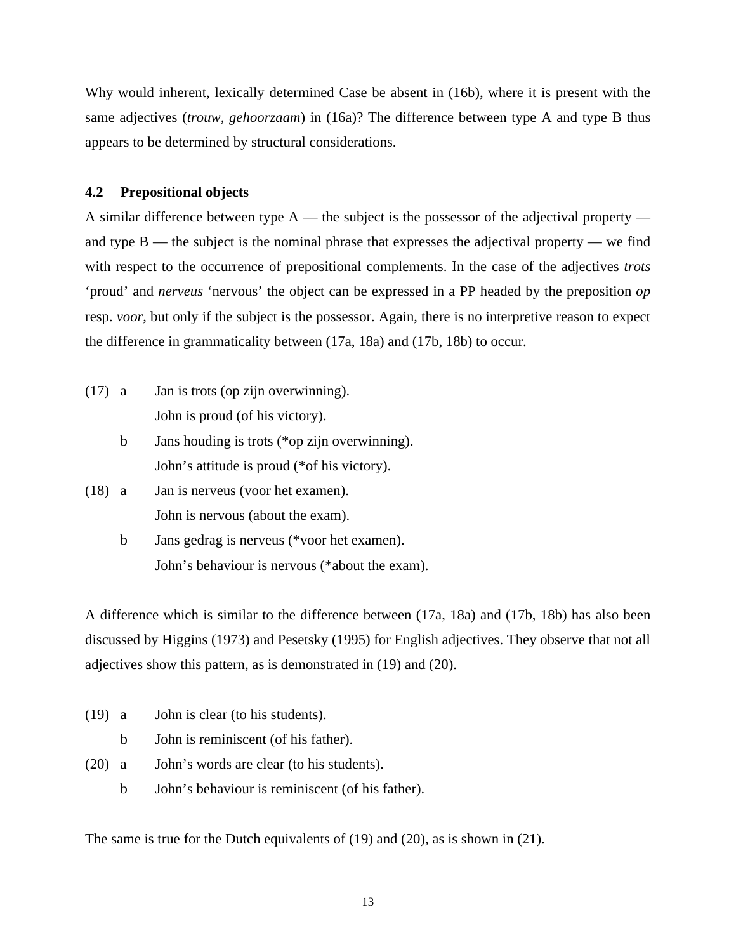Why would inherent, lexically determined Case be absent in (16b), where it is present with the same adjectives (*trouw, gehoorzaam*) in (16a)? The difference between type A and type B thus appears to be determined by structural considerations.

## **4.2 Prepositional objects**

A similar difference between type  $A$  — the subject is the possessor of the adjectival property and type  $B$  — the subject is the nominal phrase that expresses the adjectival property — we find with respect to the occurrence of prepositional complements. In the case of the adjectives *trots* 'proud' and *nerveus* 'nervous' the object can be expressed in a PP headed by the preposition *op* resp. *voor*, but only if the subject is the possessor. Again, there is no interpretive reason to expect the difference in grammaticality between (17a, 18a) and (17b, 18b) to occur.

- (17) a Jan is trots (op zijn overwinning). John is proud (of his victory).
	- b Jans houding is trots (\*op zijn overwinning). John's attitude is proud (\*of his victory).
- (18) a Jan is nerveus (voor het examen). John is nervous (about the exam).
	- b Jans gedrag is nerveus (\*voor het examen). John's behaviour is nervous (\*about the exam).

A difference which is similar to the difference between (17a, 18a) and (17b, 18b) has also been discussed by Higgins (1973) and Pesetsky (1995) for English adjectives. They observe that not all adjectives show this pattern, as is demonstrated in (19) and (20).

- (19) a John is clear (to his students).
	- b John is reminiscent (of his father).
- (20) a John's words are clear (to his students).
	- b John's behaviour is reminiscent (of his father).

The same is true for the Dutch equivalents of (19) and (20), as is shown in (21).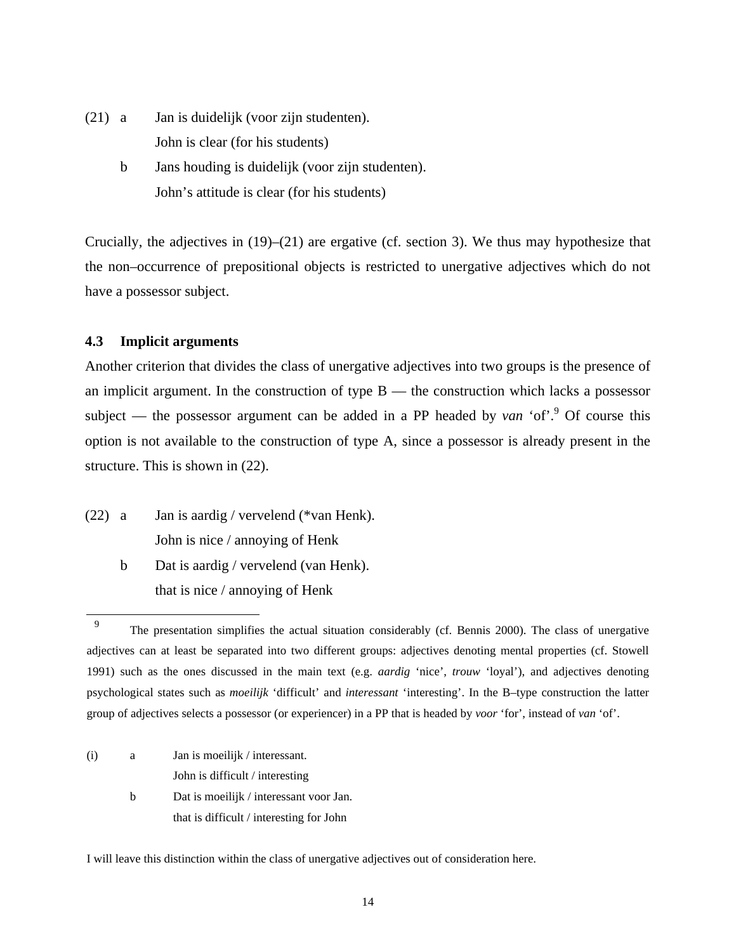- (21) a Jan is duidelijk (voor zijn studenten). John is clear (for his students)
	- b Jans houding is duidelijk (voor zijn studenten). John's attitude is clear (for his students)

Crucially, the adjectives in (19)–(21) are ergative (cf. section 3). We thus may hypothesize that the non–occurrence of prepositional objects is restricted to unergative adjectives which do not have a possessor subject.

## **4.3 Implicit arguments**

 $\overline{a}$ 

Another criterion that divides the class of unergative adjectives into two groups is the presence of an implicit argument. In the construction of type  $B$  — the construction which lacks a possessor subject — the possessor argument can be added in a PP headed by *van* 'of'.<sup>9</sup> Of course this option is not available to the construction of type A, since a possessor is already present in the structure. This is shown in (22).

- (22) a Jan is aardig / vervelend (\*van Henk). John is nice / annoying of Henk
	- b Dat is aardig / vervelend (van Henk). that is nice / annoying of Henk

(i) a Jan is moeilijk / interessant. John is difficult / interesting b Dat is moeilijk / interessant voor Jan. that is difficult / interesting for John

I will leave this distinction within the class of unergative adjectives out of consideration here.

<sup>9</sup> The presentation simplifies the actual situation considerably (cf. Bennis 2000). The class of unergative adjectives can at least be separated into two different groups: adjectives denoting mental properties (cf. Stowell 1991) such as the ones discussed in the main text (e.g. *aardig* 'nice', *trouw* 'loyal'), and adjectives denoting psychological states such as *moeilijk* 'difficult' and *interessant* 'interesting'. In the B–type construction the latter group of adjectives selects a possessor (or experiencer) in a PP that is headed by *voor* 'for', instead of *van* 'of'.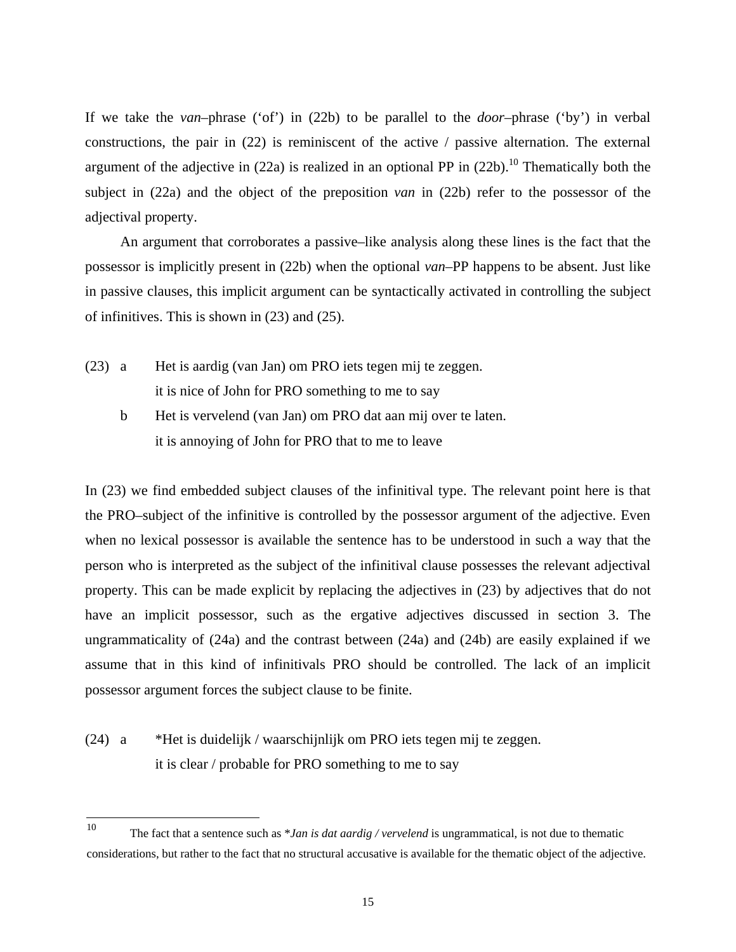If we take the *van*–phrase ('of') in (22b) to be parallel to the *door*–phrase ('by') in verbal constructions, the pair in (22) is reminiscent of the active / passive alternation. The external argument of the adjective in  $(22a)$  is realized in an optional PP in  $(22b)$ .<sup>10</sup> Thematically both the subject in (22a) and the object of the preposition *van* in (22b) refer to the possessor of the adjectival property.

An argument that corroborates a passive–like analysis along these lines is the fact that the possessor is implicitly present in (22b) when the optional *van*–PP happens to be absent. Just like in passive clauses, this implicit argument can be syntactically activated in controlling the subject of infinitives. This is shown in (23) and (25).

- (23) a Het is aardig (van Jan) om PRO iets tegen mij te zeggen. it is nice of John for PRO something to me to say
	- b Het is vervelend (van Jan) om PRO dat aan mij over te laten. it is annoying of John for PRO that to me to leave

In (23) we find embedded subject clauses of the infinitival type. The relevant point here is that the PRO–subject of the infinitive is controlled by the possessor argument of the adjective. Even when no lexical possessor is available the sentence has to be understood in such a way that the person who is interpreted as the subject of the infinitival clause possesses the relevant adjectival property. This can be made explicit by replacing the adjectives in (23) by adjectives that do not have an implicit possessor, such as the ergative adjectives discussed in section 3. The ungrammaticality of (24a) and the contrast between (24a) and (24b) are easily explained if we assume that in this kind of infinitivals PRO should be controlled. The lack of an implicit possessor argument forces the subject clause to be finite.

(24) a \*Het is duidelijk / waarschijnlijk om PRO iets tegen mij te zeggen. it is clear / probable for PRO something to me to say

 $10<sup>10</sup>$ <sup>10</sup> The fact that a sentence such as \**Jan is dat aardig / vervelend* is ungrammatical, is not due to thematic considerations, but rather to the fact that no structural accusative is available for the thematic object of the adjective.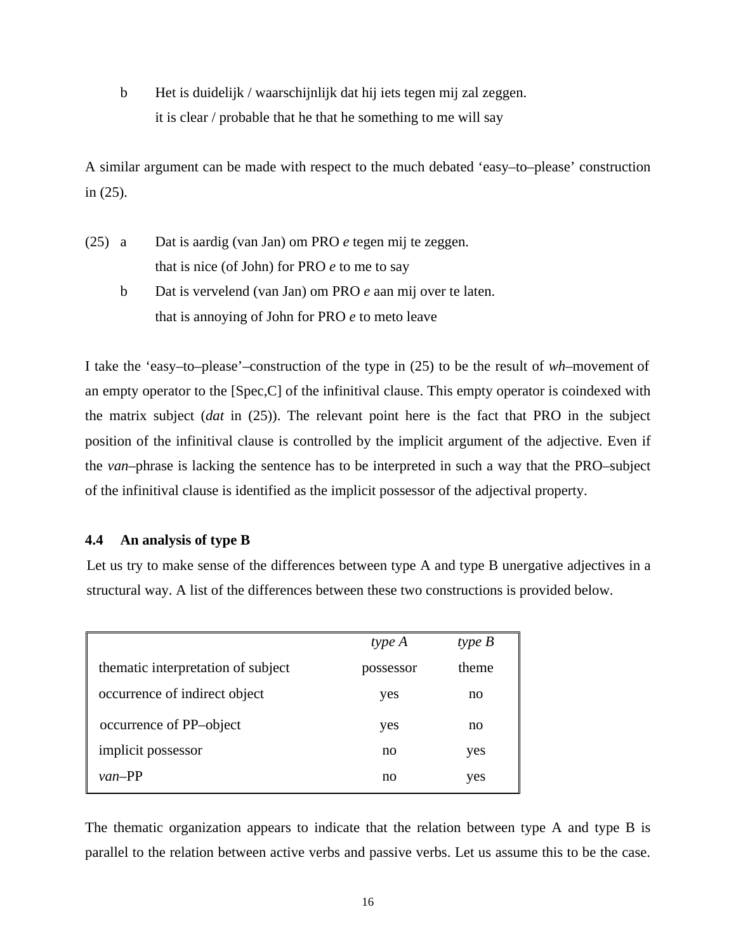b Het is duidelijk / waarschijnlijk dat hij iets tegen mij zal zeggen. it is clear / probable that he that he something to me will say

A similar argument can be made with respect to the much debated 'easy–to–please' construction in (25).

- (25) a Dat is aardig (van Jan) om PRO *e* tegen mij te zeggen. that is nice (of John) for PRO *e* to me to say
	- b Dat is vervelend (van Jan) om PRO *e* aan mij over te laten. that is annoying of John for PRO *e* to meto leave

I take the 'easy–to–please'–construction of the type in (25) to be the result of *wh*–movement of an empty operator to the [Spec,C] of the infinitival clause. This empty operator is coindexed with the matrix subject (*dat* in (25)). The relevant point here is the fact that PRO in the subject position of the infinitival clause is controlled by the implicit argument of the adjective. Even if the *van*–phrase is lacking the sentence has to be interpreted in such a way that the PRO–subject of the infinitival clause is identified as the implicit possessor of the adjectival property.

### **4.4 An analysis of type B**

Let us try to make sense of the differences between type A and type B unergative adjectives in a structural way. A list of the differences between these two constructions is provided below.

|                                    | type A    | type $B$ |
|------------------------------------|-----------|----------|
| thematic interpretation of subject | possessor | theme    |
| occurrence of indirect object      | yes       | no       |
| occurrence of PP-object            | yes       | no       |
| implicit possessor                 | no        | yes      |
| $van-PP$                           | no        | yes      |

The thematic organization appears to indicate that the relation between type A and type B is parallel to the relation between active verbs and passive verbs. Let us assume this to be the case.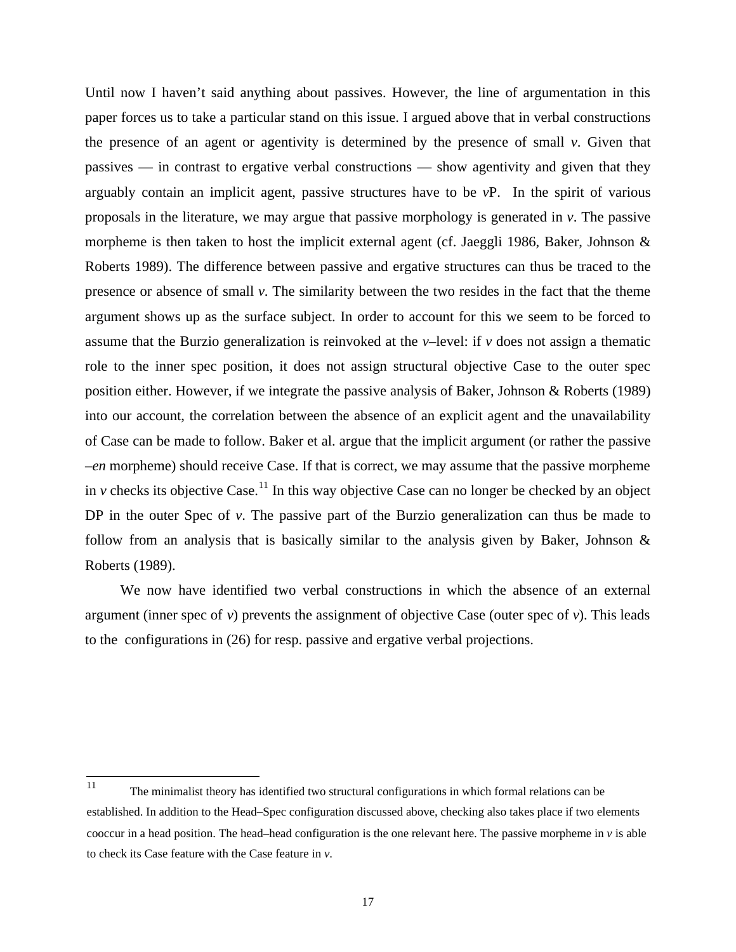Until now I haven't said anything about passives. However, the line of argumentation in this paper forces us to take a particular stand on this issue. I argued above that in verbal constructions the presence of an agent or agentivity is determined by the presence of small  $\nu$ . Given that passives — in contrast to ergative verbal constructions — show agentivity and given that they arguably contain an implicit agent, passive structures have to be *v*P. In the spirit of various proposals in the literature, we may argue that passive morphology is generated in *v*. The passive morpheme is then taken to host the implicit external agent (cf. Jaeggli 1986, Baker, Johnson  $\&$ Roberts 1989). The difference between passive and ergative structures can thus be traced to the presence or absence of small *v*. The similarity between the two resides in the fact that the theme argument shows up as the surface subject. In order to account for this we seem to be forced to assume that the Burzio generalization is reinvoked at the *v*–level: if *v* does not assign a thematic role to the inner spec position, it does not assign structural objective Case to the outer spec position either. However, if we integrate the passive analysis of Baker, Johnson & Roberts (1989) into our account, the correlation between the absence of an explicit agent and the unavailability of Case can be made to follow. Baker et al. argue that the implicit argument (or rather the passive *–en* morpheme) should receive Case. If that is correct, we may assume that the passive morpheme in *v* checks its objective Case.<sup>11</sup> In this way objective Case can no longer be checked by an object DP in the outer Spec of *v*. The passive part of the Burzio generalization can thus be made to follow from an analysis that is basically similar to the analysis given by Baker, Johnson & Roberts (1989).

We now have identified two verbal constructions in which the absence of an external argument (inner spec of *v*) prevents the assignment of objective Case (outer spec of *v*). This leads to the configurations in (26) for resp. passive and ergative verbal projections.

<sup>11</sup> <sup>11</sup> The minimalist theory has identified two structural configurations in which formal relations can be established. In addition to the Head–Spec configuration discussed above, checking also takes place if two elements cooccur in a head position. The head–head configuration is the one relevant here. The passive morpheme in *v* is able to check its Case feature with the Case feature in *v*.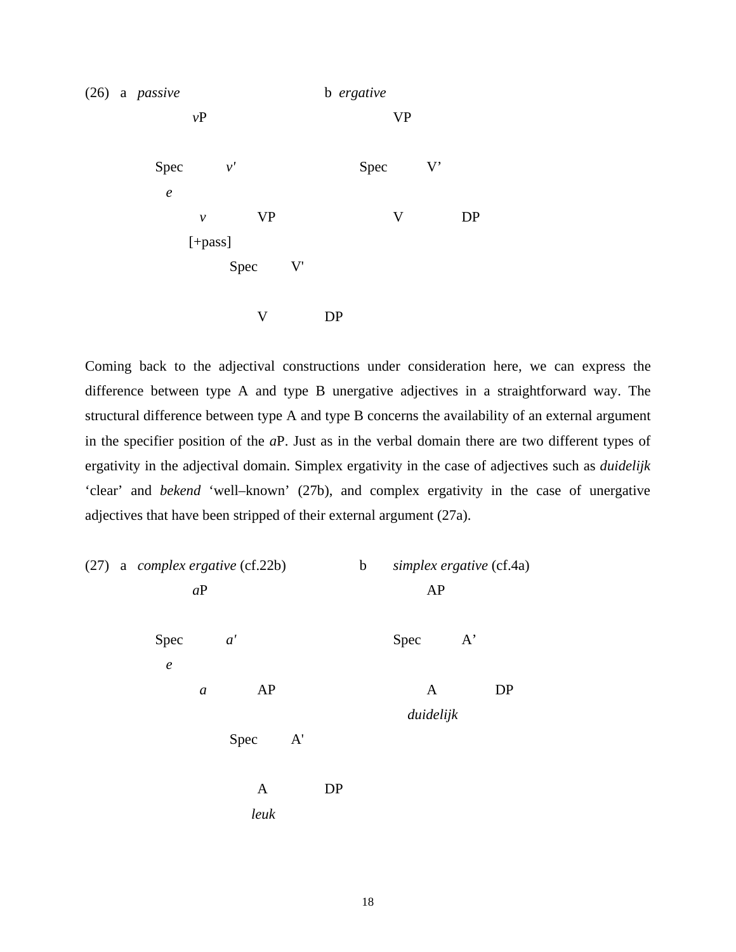

Coming back to the adjectival constructions under consideration here, we can express the difference between type A and type B unergative adjectives in a straightforward way. The structural difference between type A and type B concerns the availability of an external argument in the specifier position of the *a*P. Just as in the verbal domain there are two different types of ergativity in the adjectival domain. Simplex ergativity in the case of adjectives such as *duidelijk* 'clear' and *bekend* 'well–known' (27b), and complex ergativity in the case of unergative adjectives that have been stripped of their external argument (27a).

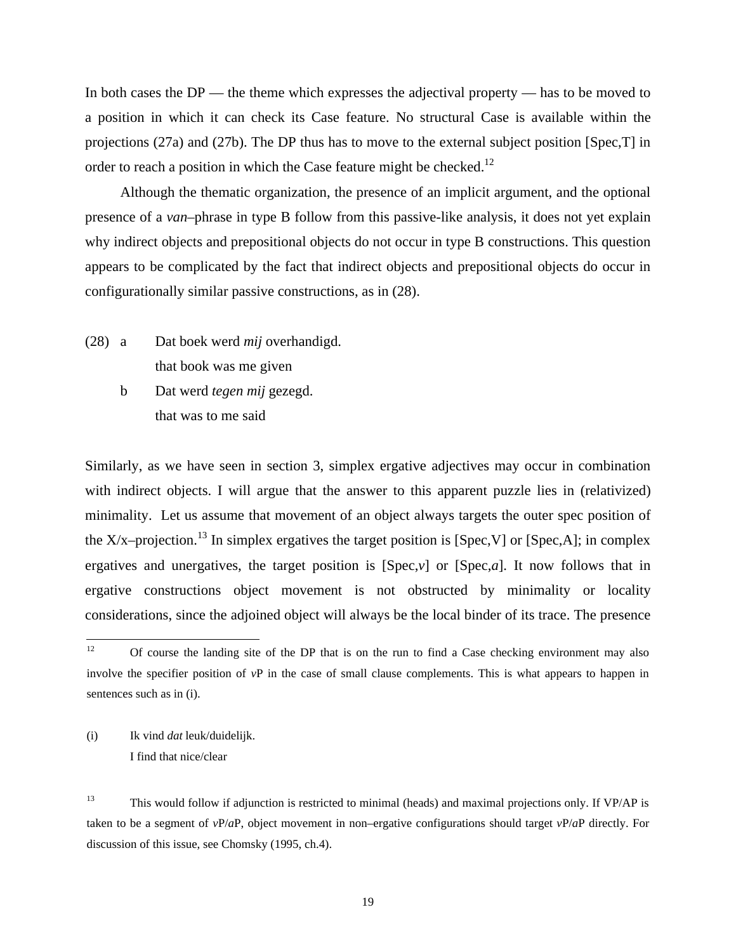In both cases the DP — the theme which expresses the adjectival property — has to be moved to a position in which it can check its Case feature. No structural Case is available within the projections (27a) and (27b). The DP thus has to move to the external subject position [Spec,T] in order to reach a position in which the Case feature might be checked.<sup>12</sup>

Although the thematic organization, the presence of an implicit argument, and the optional presence of a *van*–phrase in type B follow from this passive-like analysis, it does not yet explain why indirect objects and prepositional objects do not occur in type B constructions. This question appears to be complicated by the fact that indirect objects and prepositional objects do occur in configurationally similar passive constructions, as in (28).

- (28) a Dat boek werd *mij* overhandigd. that book was me given
	- b Dat werd *tegen mij* gezegd. that was to me said

Similarly, as we have seen in section 3, simplex ergative adjectives may occur in combination with indirect objects. I will argue that the answer to this apparent puzzle lies in (relativized) minimality. Let us assume that movement of an object always targets the outer spec position of the  $X/x$ –projection.<sup>13</sup> In simplex ergatives the target position is [Spec,V] or [Spec,A]; in complex ergatives and unergatives, the target position is [Spec,*v*] or [Spec,*a*]. It now follows that in ergative constructions object movement is not obstructed by minimality or locality considerations, since the adjoined object will always be the local binder of its trace. The presence

(i) Ik vind *dat* leuk/duidelijk. I find that nice/clear

 $12$ <sup>12</sup> Of course the landing site of the DP that is on the run to find a Case checking environment may also involve the specifier position of *v*P in the case of small clause complements. This is what appears to happen in sentences such as in (i).

<sup>&</sup>lt;sup>13</sup> This would follow if adjunction is restricted to minimal (heads) and maximal projections only. If VP/AP is taken to be a segment of *v*P/*a*P, object movement in non–ergative configurations should target *v*P/*a*P directly. For discussion of this issue, see Chomsky (1995, ch.4).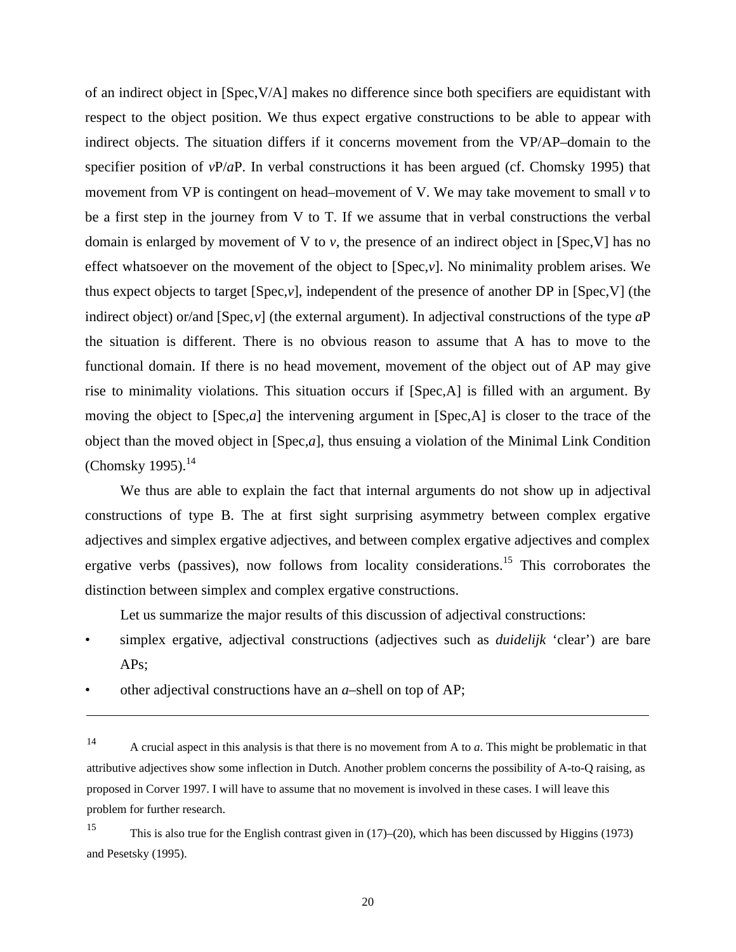of an indirect object in [Spec,V/A] makes no difference since both specifiers are equidistant with respect to the object position. We thus expect ergative constructions to be able to appear with indirect objects. The situation differs if it concerns movement from the VP/AP–domain to the specifier position of *vP*/*aP*. In verbal constructions it has been argued (cf. Chomsky 1995) that movement from VP is contingent on head–movement of V. We may take movement to small *v* to be a first step in the journey from V to T. If we assume that in verbal constructions the verbal domain is enlarged by movement of V to *v*, the presence of an indirect object in [Spec,V] has no effect whatsoever on the movement of the object to [Spec,*v*]. No minimality problem arises. We thus expect objects to target [Spec,*v*], independent of the presence of another DP in [Spec,V] (the indirect object) or/and [Spec,*v*] (the external argument). In adjectival constructions of the type *a*P the situation is different. There is no obvious reason to assume that A has to move to the functional domain. If there is no head movement, movement of the object out of AP may give rise to minimality violations. This situation occurs if [Spec,A] is filled with an argument. By moving the object to [Spec,*a*] the intervening argument in [Spec,A] is closer to the trace of the object than the moved object in [Spec,*a*], thus ensuing a violation of the Minimal Link Condition (Chomsky 1995). $^{14}$ 

We thus are able to explain the fact that internal arguments do not show up in adjectival constructions of type B. The at first sight surprising asymmetry between complex ergative adjectives and simplex ergative adjectives, and between complex ergative adjectives and complex ergative verbs (passives), now follows from locality considerations.<sup>15</sup> This corroborates the distinction between simplex and complex ergative constructions.

Let us summarize the major results of this discussion of adjectival constructions:

- simplex ergative, adjectival constructions (adjectives such as *duidelijk* 'clear') are bare APs;
- other adjectival constructions have an *a*–shell on top of AP;

 $\overline{a}$ 

<sup>15</sup> This is also true for the English contrast given in (17)–(20), which has been discussed by Higgins (1973) and Pesetsky (1995).

<sup>14</sup> A crucial aspect in this analysis is that there is no movement from A to *a*. This might be problematic in that attributive adjectives show some inflection in Dutch. Another problem concerns the possibility of A-to-Q raising, as proposed in Corver 1997. I will have to assume that no movement is involved in these cases. I will leave this problem for further research.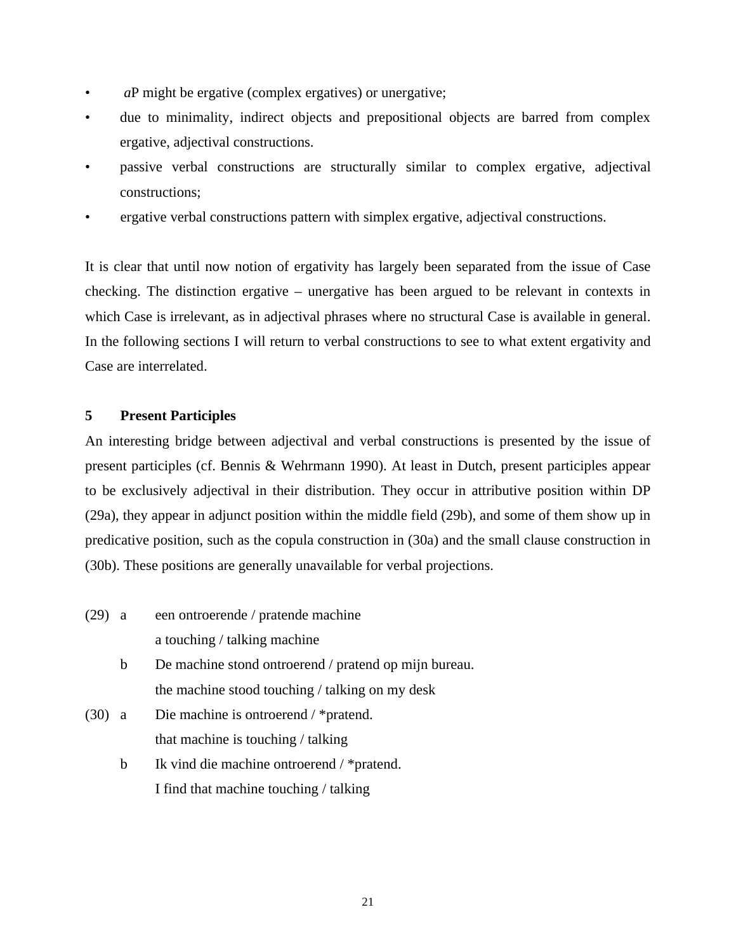- *aP* might be ergative (complex ergatives) or unergative;
- due to minimality, indirect objects and prepositional objects are barred from complex ergative, adjectival constructions.
- passive verbal constructions are structurally similar to complex ergative, adjectival constructions;
- ergative verbal constructions pattern with simplex ergative, adjectival constructions.

It is clear that until now notion of ergativity has largely been separated from the issue of Case checking. The distinction ergative – unergative has been argued to be relevant in contexts in which Case is irrelevant, as in adjectival phrases where no structural Case is available in general. In the following sections I will return to verbal constructions to see to what extent ergativity and Case are interrelated.

## **5 Present Participles**

An interesting bridge between adjectival and verbal constructions is presented by the issue of present participles (cf. Bennis & Wehrmann 1990). At least in Dutch, present participles appear to be exclusively adjectival in their distribution. They occur in attributive position within DP (29a), they appear in adjunct position within the middle field (29b), and some of them show up in predicative position, such as the copula construction in (30a) and the small clause construction in (30b). These positions are generally unavailable for verbal projections.

- (29) a een ontroerende / pratende machine a touching / talking machine
	- b De machine stond ontroerend / pratend op mijn bureau. the machine stood touching / talking on my desk
- (30) a Die machine is ontroerend / \*pratend. that machine is touching / talking
	- b Ik vind die machine ontroerend / \*pratend. I find that machine touching / talking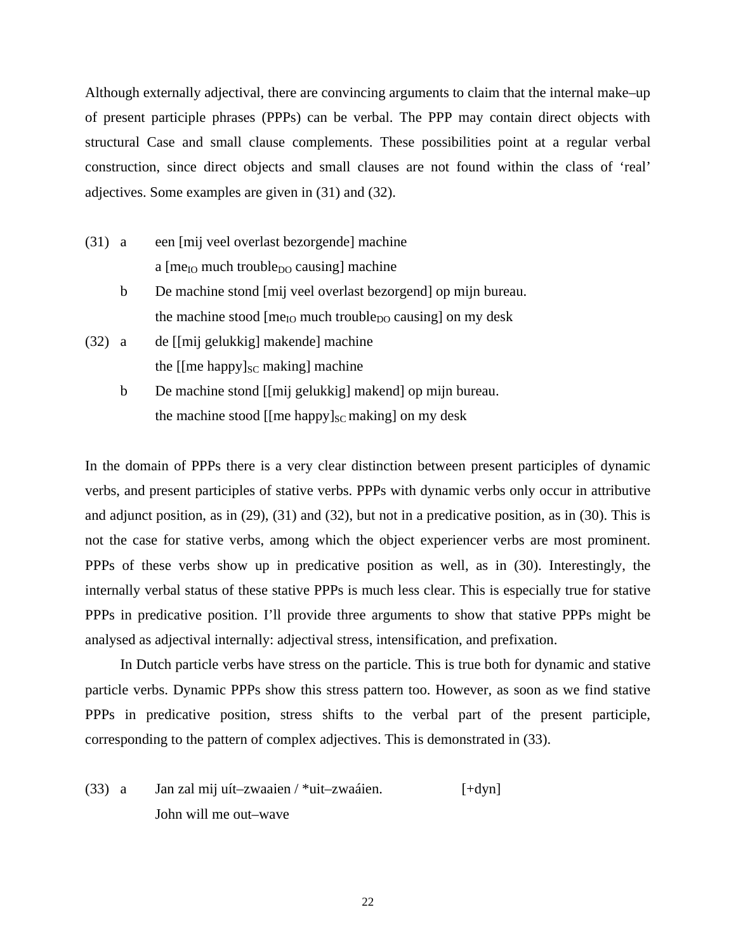Although externally adjectival, there are convincing arguments to claim that the internal make–up of present participle phrases (PPPs) can be verbal. The PPP may contain direct objects with structural Case and small clause complements. These possibilities point at a regular verbal construction, since direct objects and small clauses are not found within the class of 'real' adjectives. Some examples are given in (31) and (32).

- (31) a een [mij veel overlast bezorgende] machine a  $[me_{IO}$  much trouble<sub>DO</sub> causing] machine
	- b De machine stond [mij veel overlast bezorgend] op mijn bureau. the machine stood  $[me_{IO}$  much trouble<sub>DO</sub> causing] on my desk
- (32) a de [[mij gelukkig] makende] machine the  $\left[\text{me happy}\right]$ <sub>SC</sub> making] machine
	- b De machine stond [[mij gelukkig] makend] op mijn bureau. the machine stood [[me happy] $_{\text{SC}}$  making] on my desk

In the domain of PPPs there is a very clear distinction between present participles of dynamic verbs, and present participles of stative verbs. PPPs with dynamic verbs only occur in attributive and adjunct position, as in (29), (31) and (32), but not in a predicative position, as in (30). This is not the case for stative verbs, among which the object experiencer verbs are most prominent. PPPs of these verbs show up in predicative position as well, as in (30). Interestingly, the internally verbal status of these stative PPPs is much less clear. This is especially true for stative PPPs in predicative position. I'll provide three arguments to show that stative PPPs might be analysed as adjectival internally: adjectival stress, intensification, and prefixation.

In Dutch particle verbs have stress on the particle. This is true both for dynamic and stative particle verbs. Dynamic PPPs show this stress pattern too. However, as soon as we find stative PPPs in predicative position, stress shifts to the verbal part of the present participle, corresponding to the pattern of complex adjectives. This is demonstrated in (33).

(33) a Jan zal mij uít–zwaaien / \*uit–zwaáien.  $[+dyn]$ John will me out–wave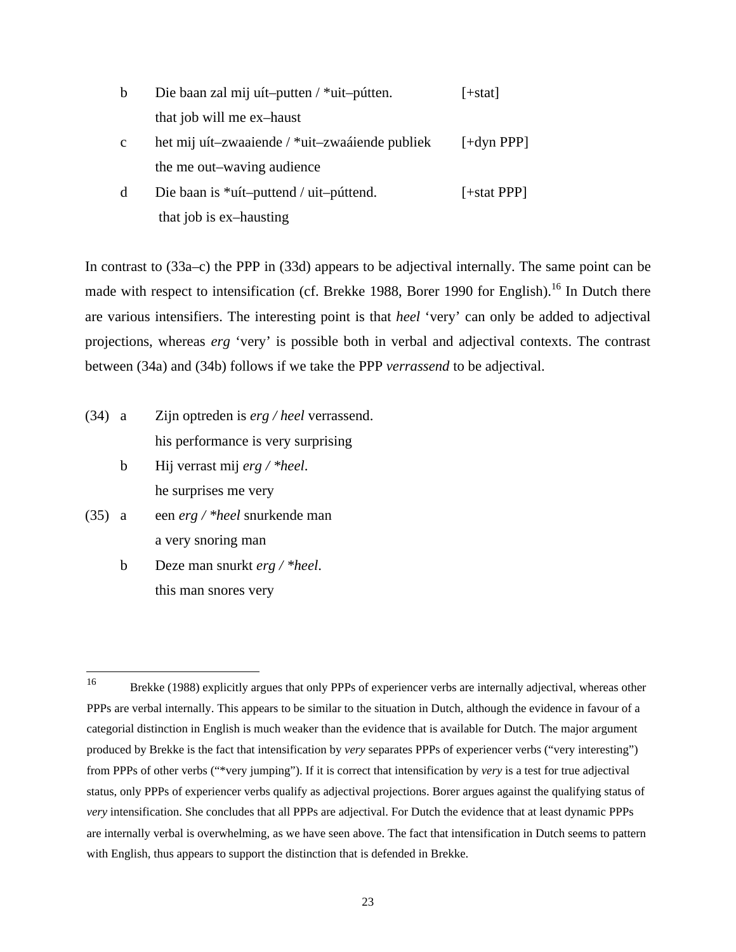- b Die baan zal mij uít–putten / \*uit–pútten. [+stat] that job will me ex–haust c het mij uít–zwaaiende / \*uit–zwaáiende publiek [+dyn PPP]
- the me out–waving audience
- d Die baan is \*uít–puttend / uit–púttend. [+stat PPP] that job is ex–hausting

In contrast to (33a–c) the PPP in (33d) appears to be adjectival internally. The same point can be made with respect to intensification (cf. Brekke 1988, Borer 1990 for English).<sup>16</sup> In Dutch there are various intensifiers. The interesting point is that *heel* 'very' can only be added to adjectival projections, whereas *erg* 'very' is possible both in verbal and adjectival contexts. The contrast between (34a) and (34b) follows if we take the PPP *verrassend* to be adjectival.

- (34) a Zijn optreden is *erg / heel* verrassend. his performance is very surprising
	- b Hij verrast mij *erg / \*heel*. he surprises me very
- (35) a een *erg / \*heel* snurkende man a very snoring man
	- b Deze man snurkt *erg / \*heel*. this man snores very

 $16\,$ Brekke (1988) explicitly argues that only PPPs of experiencer verbs are internally adjectival, whereas other PPPs are verbal internally. This appears to be similar to the situation in Dutch, although the evidence in favour of a categorial distinction in English is much weaker than the evidence that is available for Dutch. The major argument produced by Brekke is the fact that intensification by *very* separates PPPs of experiencer verbs ("very interesting") from PPPs of other verbs ("\*very jumping"). If it is correct that intensification by *very* is a test for true adjectival status, only PPPs of experiencer verbs qualify as adjectival projections. Borer argues against the qualifying status of *very* intensification. She concludes that all PPPs are adjectival. For Dutch the evidence that at least dynamic PPPs are internally verbal is overwhelming, as we have seen above. The fact that intensification in Dutch seems to pattern with English, thus appears to support the distinction that is defended in Brekke.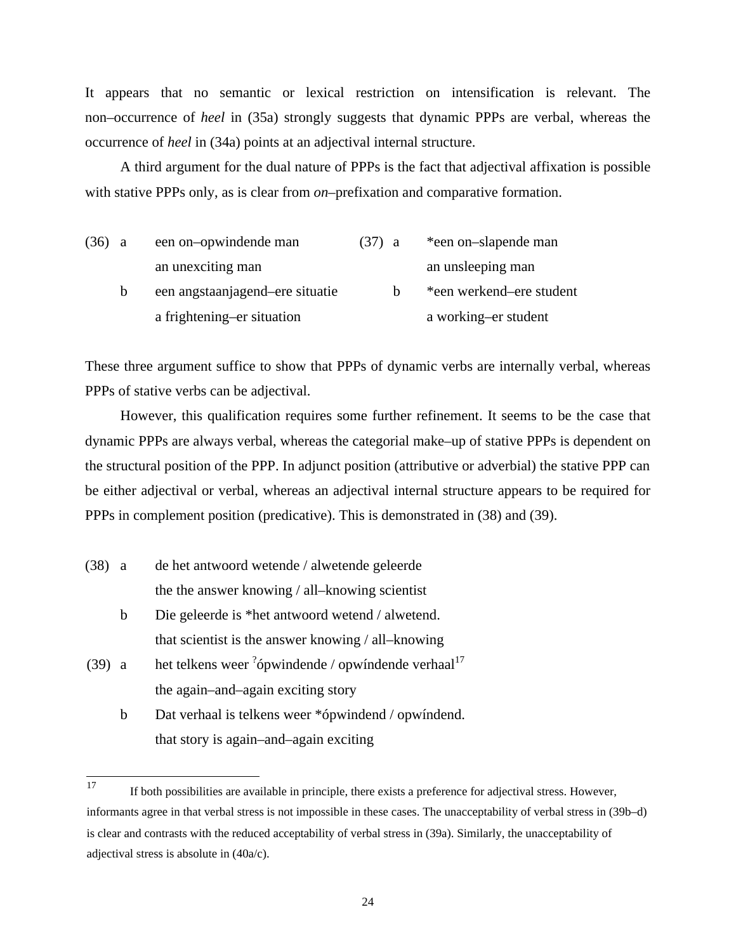It appears that no semantic or lexical restriction on intensification is relevant. The non–occurrence of *heel* in (35a) strongly suggests that dynamic PPPs are verbal, whereas the occurrence of *heel* in (34a) points at an adjectival internal structure.

A third argument for the dual nature of PPPs is the fact that adjectival affixation is possible with stative PPPs only, as is clear from *on*–prefixation and comparative formation.

| $(36)$ a |              | een on-opwindende man           | $(37)$ a | *een on-slapende man     |
|----------|--------------|---------------------------------|----------|--------------------------|
|          |              | an unexciting man               |          | an unsleeping man        |
|          | <sub>h</sub> | een angstaanjagend-ere situatie |          | *een werkend–ere student |
|          |              | a frightening-er situation      |          | a working-er student     |

These three argument suffice to show that PPPs of dynamic verbs are internally verbal, whereas PPPs of stative verbs can be adjectival.

However, this qualification requires some further refinement. It seems to be the case that dynamic PPPs are always verbal, whereas the categorial make–up of stative PPPs is dependent on the structural position of the PPP. In adjunct position (attributive or adverbial) the stative PPP can be either adjectival or verbal, whereas an adjectival internal structure appears to be required for PPPs in complement position (predicative). This is demonstrated in (38) and (39).

- (38) a de het antwoord wetende / alwetende geleerde the the answer knowing / all–knowing scientist
	- b Die geleerde is \*het antwoord wetend / alwetend. that scientist is the answer knowing / all–knowing
- (39) a het telkens weer <sup>?</sup>ópwindende / opwíndende verhaal<sup>17</sup> the again–and–again exciting story
	- b Dat verhaal is telkens weer \*ópwindend / opwíndend. that story is again–and–again exciting

<sup>17</sup> <sup>17</sup> If both possibilities are available in principle, there exists a preference for adjectival stress. However, informants agree in that verbal stress is not impossible in these cases. The unacceptability of verbal stress in (39b–d) is clear and contrasts with the reduced acceptability of verbal stress in (39a). Similarly, the unacceptability of adjectival stress is absolute in (40a/c).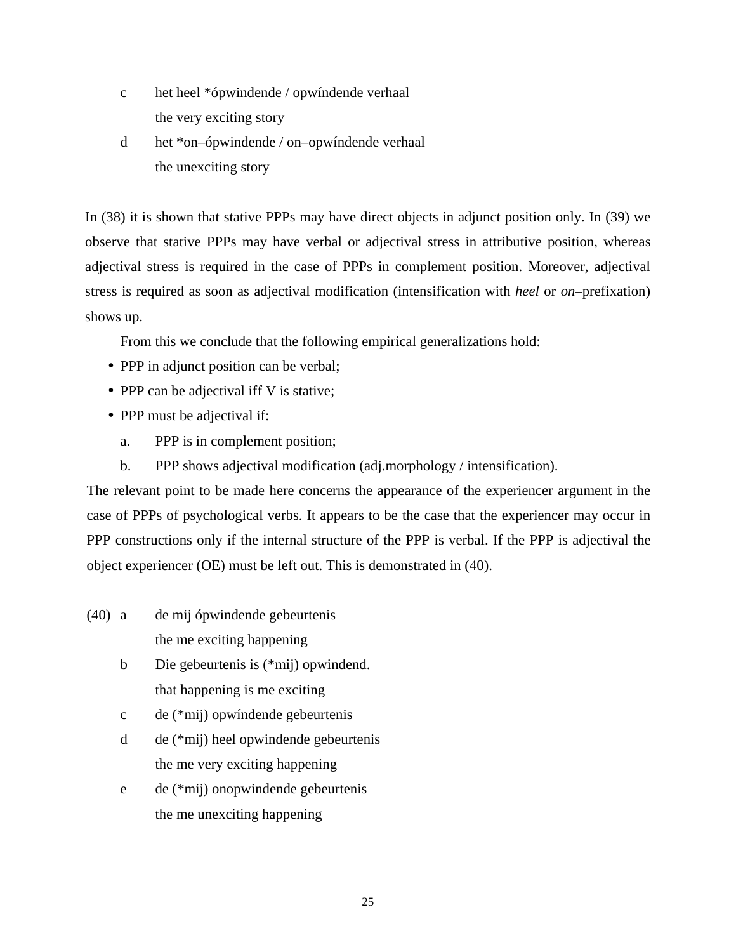- c het heel \*ópwindende / opwíndende verhaal the very exciting story
- d het \*on–ópwindende / on–opwíndende verhaal the unexciting story

In (38) it is shown that stative PPPs may have direct objects in adjunct position only. In (39) we observe that stative PPPs may have verbal or adjectival stress in attributive position, whereas adjectival stress is required in the case of PPPs in complement position. Moreover, adjectival stress is required as soon as adjectival modification (intensification with *heel* or *on–*prefixation) shows up.

From this we conclude that the following empirical generalizations hold:

- PPP in adjunct position can be verbal;
- PPP can be adjectival iff V is stative;
- PPP must be adjectival if:
	- a. PPP is in complement position;
	- b. PPP shows adjectival modification (adj.morphology / intensification).

The relevant point to be made here concerns the appearance of the experiencer argument in the case of PPPs of psychological verbs. It appears to be the case that the experiencer may occur in PPP constructions only if the internal structure of the PPP is verbal. If the PPP is adjectival the object experiencer (OE) must be left out. This is demonstrated in (40).

- (40) a de mij ópwindende gebeurtenis the me exciting happening
	- b Die gebeurtenis is (\*mij) opwindend. that happening is me exciting
	- c de (\*mij) opwíndende gebeurtenis
	- d de (\*mij) heel opwindende gebeurtenis the me very exciting happening
	- e de (\*mij) onopwindende gebeurtenis the me unexciting happening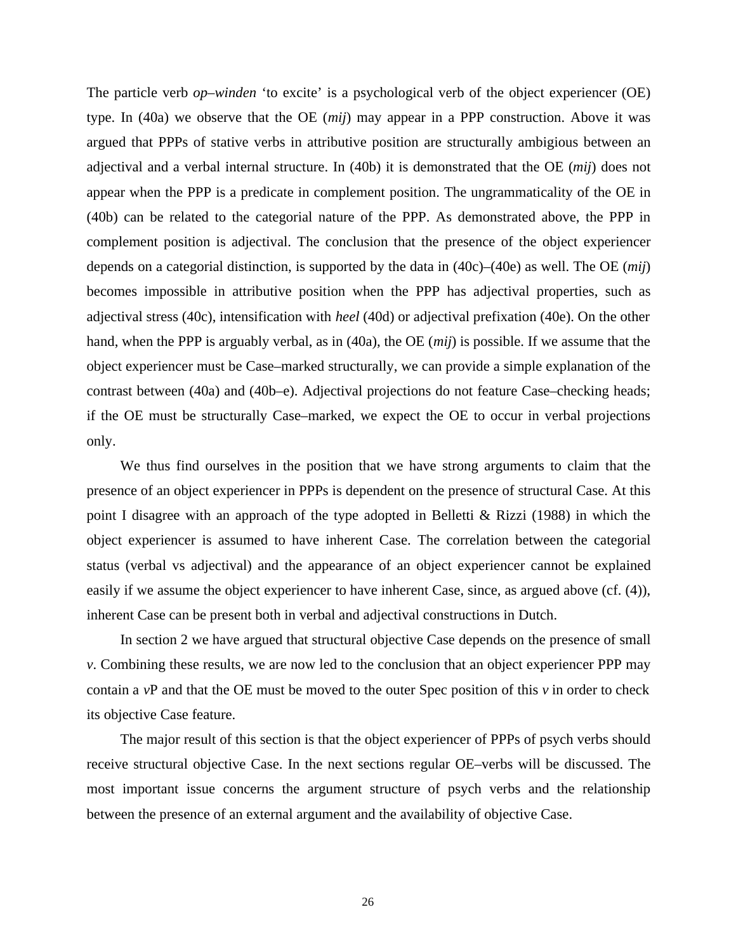The particle verb *op–winden* 'to excite' is a psychological verb of the object experiencer (OE) type. In (40a) we observe that the OE (*mij*) may appear in a PPP construction. Above it was argued that PPPs of stative verbs in attributive position are structurally ambigious between an adjectival and a verbal internal structure. In (40b) it is demonstrated that the OE (*mij*) does not appear when the PPP is a predicate in complement position. The ungrammaticality of the OE in (40b) can be related to the categorial nature of the PPP. As demonstrated above, the PPP in complement position is adjectival. The conclusion that the presence of the object experiencer depends on a categorial distinction, is supported by the data in (40c)–(40e) as well. The OE (*mij*) becomes impossible in attributive position when the PPP has adjectival properties, such as adjectival stress (40c), intensification with *heel* (40d) or adjectival prefixation (40e). On the other hand, when the PPP is arguably verbal, as in (40a), the OE (*mij*) is possible. If we assume that the object experiencer must be Case–marked structurally, we can provide a simple explanation of the contrast between (40a) and (40b–e). Adjectival projections do not feature Case–checking heads; if the OE must be structurally Case–marked, we expect the OE to occur in verbal projections only.

We thus find ourselves in the position that we have strong arguments to claim that the presence of an object experiencer in PPPs is dependent on the presence of structural Case. At this point I disagree with an approach of the type adopted in Belletti & Rizzi (1988) in which the object experiencer is assumed to have inherent Case. The correlation between the categorial status (verbal vs adjectival) and the appearance of an object experiencer cannot be explained easily if we assume the object experiencer to have inherent Case, since, as argued above (cf. (4)), inherent Case can be present both in verbal and adjectival constructions in Dutch.

In section 2 we have argued that structural objective Case depends on the presence of small *v*. Combining these results, we are now led to the conclusion that an object experiencer PPP may contain a *v*P and that the OE must be moved to the outer Spec position of this *v* in order to check its objective Case feature.

The major result of this section is that the object experiencer of PPPs of psych verbs should receive structural objective Case. In the next sections regular OE–verbs will be discussed. The most important issue concerns the argument structure of psych verbs and the relationship between the presence of an external argument and the availability of objective Case.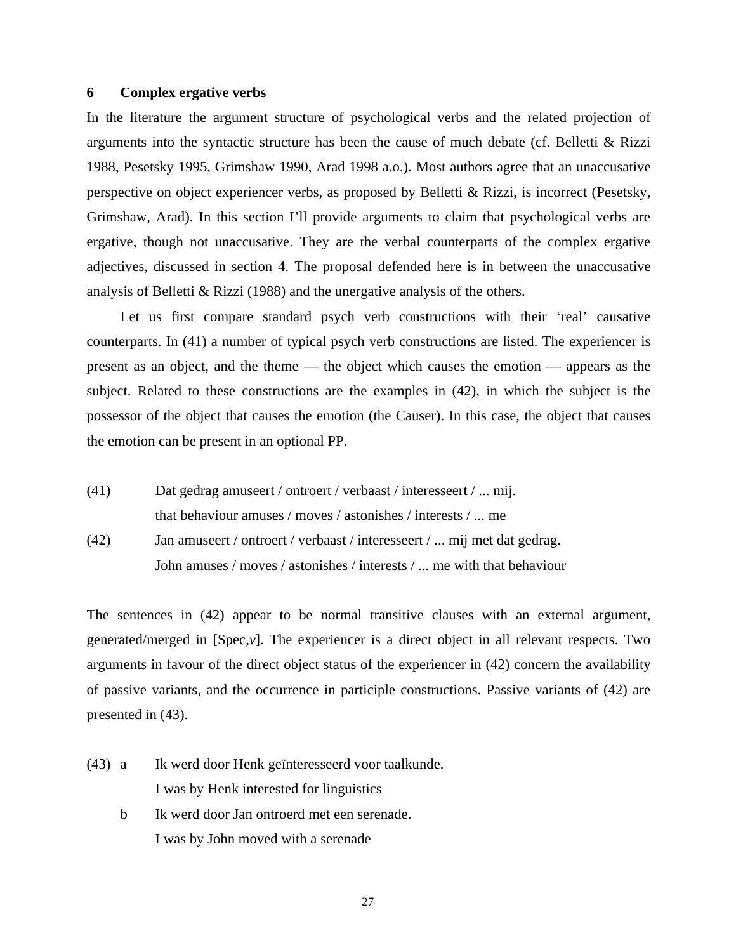#### **6 Complex ergative verbs**

In the literature the argument structure of psychological verbs and the related projection of arguments into the syntactic structure has been the cause of much debate (cf. Belletti & Rizzi 1988, Pesetsky 1995, Grimshaw 1990, Arad 1998 a.o.). Most authors agree that an unaccusative perspective on object experiencer verbs, as proposed by Belletti & Rizzi, is incorrect (Pesetsky, Grimshaw, Arad). In this section I'll provide arguments to claim that psychological verbs are ergative, though not unaccusative. They are the verbal counterparts of the complex ergative adjectives, discussed in section 4. The proposal defended here is in between the unaccusative analysis of Belletti & Rizzi (1988) and the unergative analysis of the others.

Let us first compare standard psych verb constructions with their 'real' causative counterparts. In (41) a number of typical psych verb constructions are listed. The experiencer is present as an object, and the theme — the object which causes the emotion — appears as the subject. Related to these constructions are the examples in (42), in which the subject is the possessor of the object that causes the emotion (the Causer). In this case, the object that causes the emotion can be present in an optional PP.

- (41) Dat gedrag amuseert / ontroert / verbaast / interesseert / ... mij. that behaviour amuses / moves / astonishes / interests / ... me
- (42) Jan amuseert / ontroert / verbaast / interesseert / ... mij met dat gedrag. John amuses / moves / astonishes / interests / ... me with that behaviour

The sentences in (42) appear to be normal transitive clauses with an external argument, generated/merged in [Spec,*v*]. The experiencer is a direct object in all relevant respects. Two arguments in favour of the direct object status of the experiencer in (42) concern the availability of passive variants, and the occurrence in participle constructions. Passive variants of (42) are presented in (43).

- (43) a Ik werd door Henk geïnteresseerd voor taalkunde. I was by Henk interested for linguistics
	- b Ik werd door Jan ontroerd met een serenade. I was by John moved with a serenade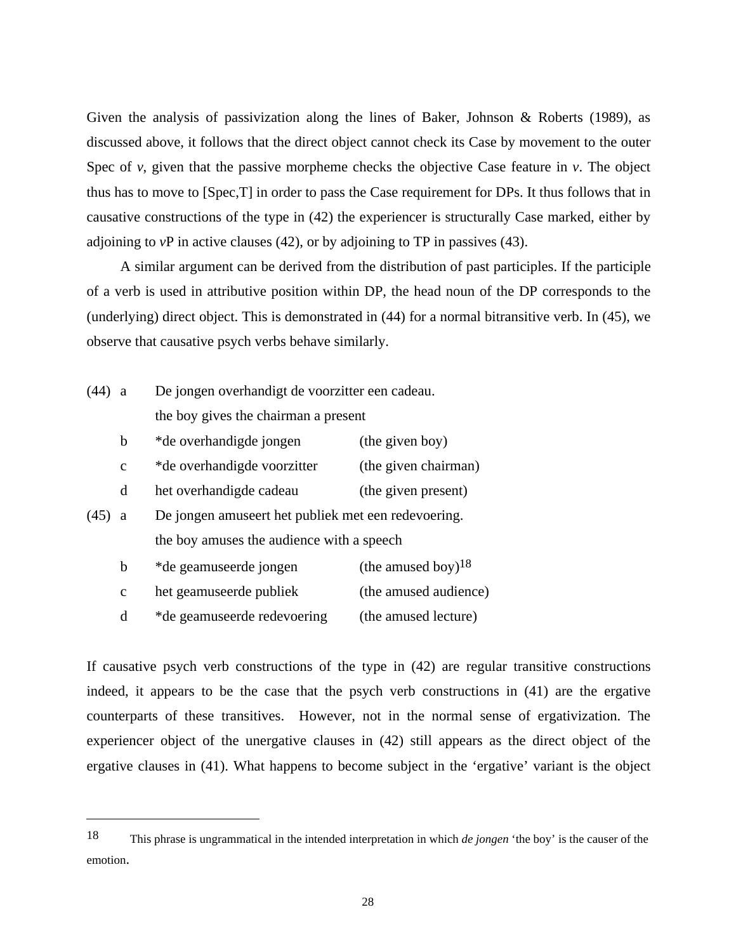Given the analysis of passivization along the lines of Baker, Johnson & Roberts (1989), as discussed above, it follows that the direct object cannot check its Case by movement to the outer Spec of *v*, given that the passive morpheme checks the objective Case feature in *v*. The object thus has to move to [Spec,T] in order to pass the Case requirement for DPs. It thus follows that in causative constructions of the type in (42) the experiencer is structurally Case marked, either by adjoining to *v*P in active clauses (42), or by adjoining to TP in passives (43).

A similar argument can be derived from the distribution of past participles. If the participle of a verb is used in attributive position within DP, the head noun of the DP corresponds to the (underlying) direct object. This is demonstrated in (44) for a normal bitransitive verb. In (45), we observe that causative psych verbs behave similarly.

| (44) | a            | De jongen overhandigt de voorzitter een cadeau.     |                                |  |  |  |
|------|--------------|-----------------------------------------------------|--------------------------------|--|--|--|
|      |              | the boy gives the chairman a present                |                                |  |  |  |
|      | b            | *de overhandigde jongen                             | (the given boy)                |  |  |  |
|      | $\mathbf{C}$ | *de overhandigde voorzitter                         | (the given chairman)           |  |  |  |
|      | d            | het overhandigde cadeau                             | (the given present)            |  |  |  |
| (45) | a            | De jongen amuseert het publiek met een redevoering. |                                |  |  |  |
|      |              | the boy amuses the audience with a speech           |                                |  |  |  |
|      | b            | *de geamuseerde jongen                              | (the amused boy) <sup>18</sup> |  |  |  |
|      | $\mathbf{C}$ | het geamuseerde publiek                             | (the amused audience)          |  |  |  |
|      | d            | *de geamuseerde redevoering                         | (the amused lecture)           |  |  |  |

l

If causative psych verb constructions of the type in (42) are regular transitive constructions indeed, it appears to be the case that the psych verb constructions in (41) are the ergative counterparts of these transitives. However, not in the normal sense of ergativization. The experiencer object of the unergative clauses in (42) still appears as the direct object of the ergative clauses in (41). What happens to become subject in the 'ergative' variant is the object

<sup>18</sup> This phrase is ungrammatical in the intended interpretation in which *de jongen* 'the boy' is the causer of the emotion.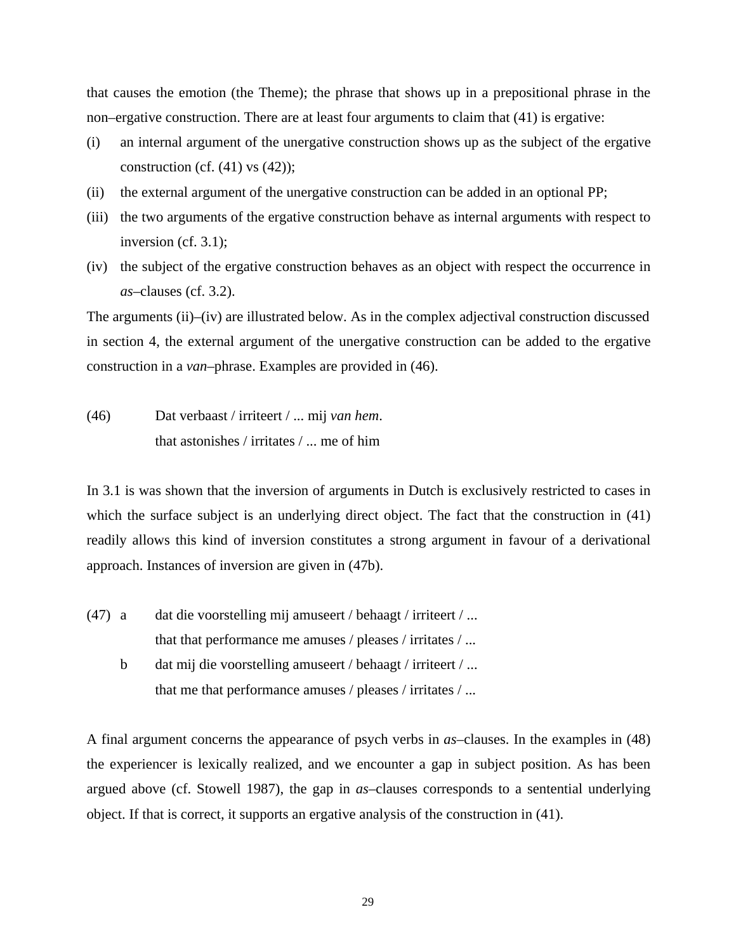that causes the emotion (the Theme); the phrase that shows up in a prepositional phrase in the non–ergative construction. There are at least four arguments to claim that (41) is ergative:

- (i) an internal argument of the unergative construction shows up as the subject of the ergative construction (cf.  $(41)$  vs  $(42)$ );
- (ii) the external argument of the unergative construction can be added in an optional PP;
- (iii) the two arguments of the ergative construction behave as internal arguments with respect to inversion (cf. 3.1);
- (iv) the subject of the ergative construction behaves as an object with respect the occurrence in *as*–clauses (cf. 3.2).

The arguments (ii)–(iv) are illustrated below. As in the complex adjectival construction discussed in section 4, the external argument of the unergative construction can be added to the ergative construction in a *van*–phrase. Examples are provided in (46).

(46) Dat verbaast / irriteert / ... mij *van hem*. that astonishes / irritates / ... me of him

In 3.1 is was shown that the inversion of arguments in Dutch is exclusively restricted to cases in which the surface subject is an underlying direct object. The fact that the construction in (41) readily allows this kind of inversion constitutes a strong argument in favour of a derivational approach. Instances of inversion are given in (47b).

- (47) a dat die voorstelling mij amuseert / behaagt / irriteert / ... that that performance me amuses / pleases / irritates / ...
	- b dat mij die voorstelling amuseert / behaagt / irriteert / ... that me that performance amuses / pleases / irritates / ...

A final argument concerns the appearance of psych verbs in *as*–clauses. In the examples in (48) the experiencer is lexically realized, and we encounter a gap in subject position. As has been argued above (cf. Stowell 1987), the gap in *as*–clauses corresponds to a sentential underlying object. If that is correct, it supports an ergative analysis of the construction in (41).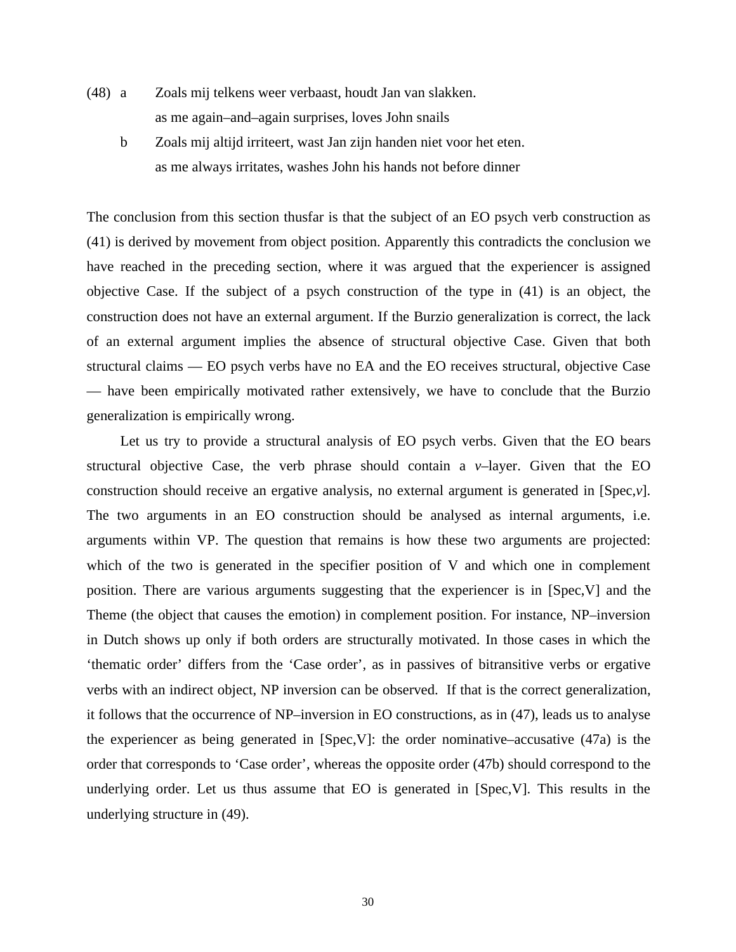- (48) a Zoals mij telkens weer verbaast, houdt Jan van slakken. as me again–and–again surprises, loves John snails
	- b Zoals mij altijd irriteert, wast Jan zijn handen niet voor het eten. as me always irritates, washes John his hands not before dinner

The conclusion from this section thusfar is that the subject of an EO psych verb construction as (41) is derived by movement from object position. Apparently this contradicts the conclusion we have reached in the preceding section, where it was argued that the experiencer is assigned objective Case. If the subject of a psych construction of the type in (41) is an object, the construction does not have an external argument. If the Burzio generalization is correct, the lack of an external argument implies the absence of structural objective Case. Given that both structural claims — EO psych verbs have no EA and the EO receives structural, objective Case — have been empirically motivated rather extensively, we have to conclude that the Burzio generalization is empirically wrong.

Let us try to provide a structural analysis of EO psych verbs. Given that the EO bears structural objective Case, the verb phrase should contain a *v*–layer. Given that the EO construction should receive an ergative analysis, no external argument is generated in [Spec,*v*]. The two arguments in an EO construction should be analysed as internal arguments, i.e. arguments within VP. The question that remains is how these two arguments are projected: which of the two is generated in the specifier position of V and which one in complement position. There are various arguments suggesting that the experiencer is in [Spec,V] and the Theme (the object that causes the emotion) in complement position. For instance, NP–inversion in Dutch shows up only if both orders are structurally motivated. In those cases in which the 'thematic order' differs from the 'Case order', as in passives of bitransitive verbs or ergative verbs with an indirect object, NP inversion can be observed. If that is the correct generalization, it follows that the occurrence of NP–inversion in EO constructions, as in (47), leads us to analyse the experiencer as being generated in [Spec,V]: the order nominative–accusative (47a) is the order that corresponds to 'Case order', whereas the opposite order (47b) should correspond to the underlying order. Let us thus assume that EO is generated in [Spec,V]. This results in the underlying structure in (49).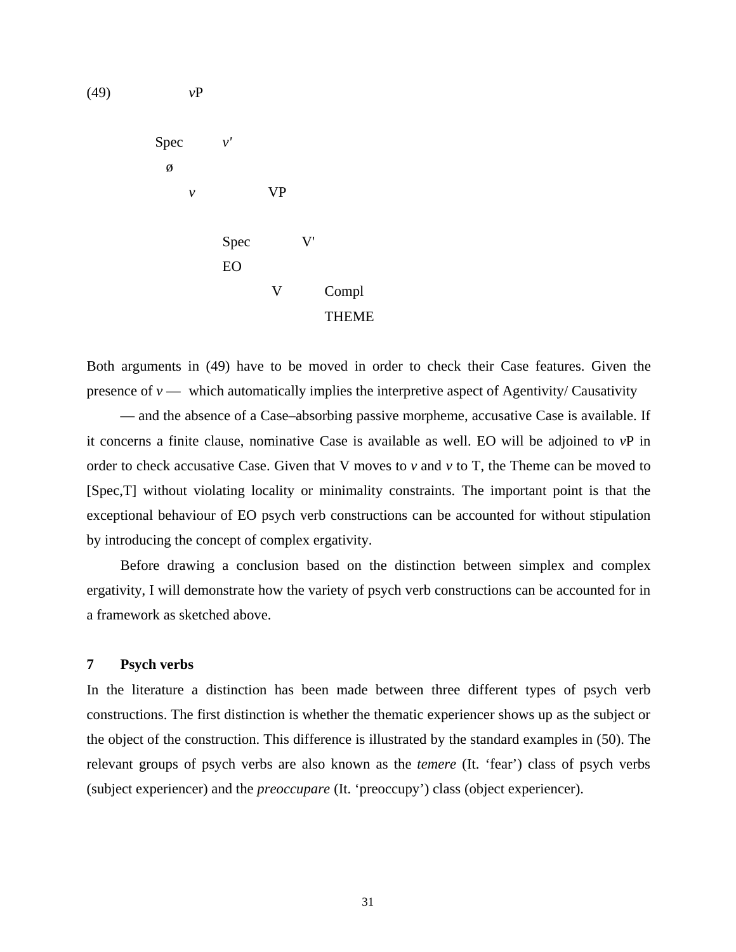

Both arguments in (49) have to be moved in order to check their Case features. Given the presence of  $v$  — which automatically implies the interpretive aspect of Agentivity/ Causativity

— and the absence of a Case–absorbing passive morpheme, accusative Case is available. If it concerns a finite clause, nominative Case is available as well. EO will be adjoined to *v*P in order to check accusative Case. Given that V moves to  $\nu$  and  $\nu$  to T, the Theme can be moved to [Spec,T] without violating locality or minimality constraints. The important point is that the exceptional behaviour of EO psych verb constructions can be accounted for without stipulation by introducing the concept of complex ergativity.

Before drawing a conclusion based on the distinction between simplex and complex ergativity, I will demonstrate how the variety of psych verb constructions can be accounted for in a framework as sketched above.

#### **7 Psych verbs**

In the literature a distinction has been made between three different types of psych verb constructions. The first distinction is whether the thematic experiencer shows up as the subject or the object of the construction. This difference is illustrated by the standard examples in (50). The relevant groups of psych verbs are also known as the *temere* (It. 'fear') class of psych verbs (subject experiencer) and the *preoccupare* (It. 'preoccupy') class (object experiencer).

31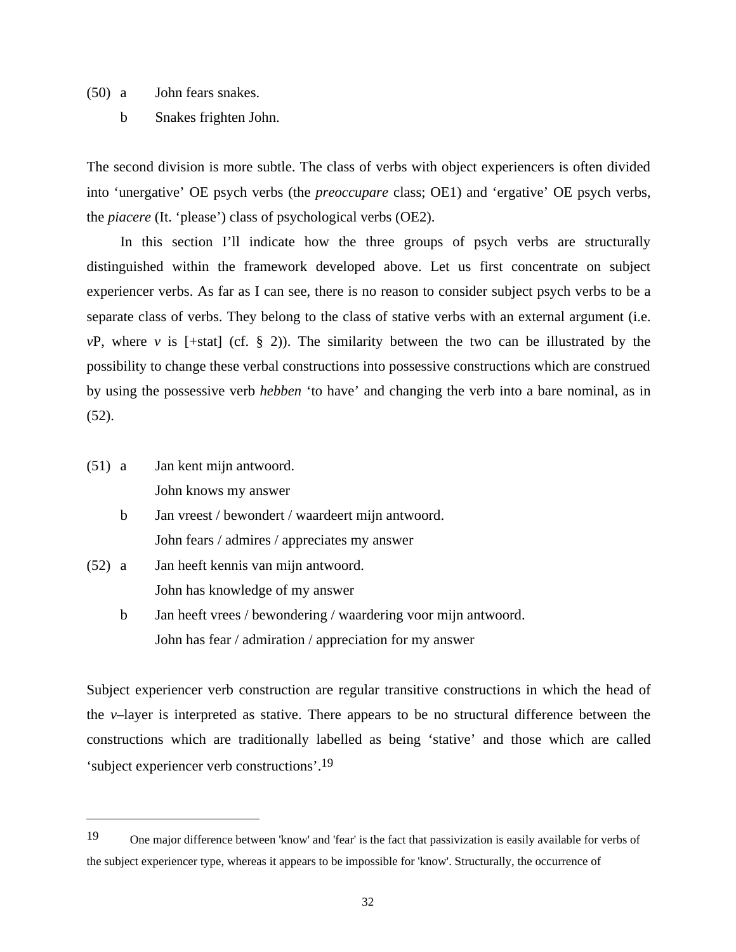- (50) a John fears snakes.
	- b Snakes frighten John.

The second division is more subtle. The class of verbs with object experiencers is often divided into 'unergative' OE psych verbs (the *preoccupare* class; OE1) and 'ergative' OE psych verbs, the *piacere* (It. 'please') class of psychological verbs (OE2).

In this section I'll indicate how the three groups of psych verbs are structurally distinguished within the framework developed above. Let us first concentrate on subject experiencer verbs. As far as I can see, there is no reason to consider subject psych verbs to be a separate class of verbs. They belong to the class of stative verbs with an external argument (i.e. *vP*, where *v* is [+stat] (cf.  $\S$  2)). The similarity between the two can be illustrated by the possibility to change these verbal constructions into possessive constructions which are construed by using the possessive verb *hebben* 'to have' and changing the verb into a bare nominal, as in (52).

(51) a Jan kent mijn antwoord. John knows my answer

l

- b Jan vreest / bewondert / waardeert mijn antwoord. John fears / admires / appreciates my answer
- (52) a Jan heeft kennis van mijn antwoord. John has knowledge of my answer
	- b Jan heeft vrees / bewondering / waardering voor mijn antwoord. John has fear / admiration / appreciation for my answer

Subject experiencer verb construction are regular transitive constructions in which the head of the *v*–layer is interpreted as stative. There appears to be no structural difference between the constructions which are traditionally labelled as being 'stative' and those which are called 'subject experiencer verb constructions'.19

<sup>19</sup> One major difference between 'know' and 'fear' is the fact that passivization is easily available for verbs of the subject experiencer type, whereas it appears to be impossible for 'know'. Structurally, the occurrence of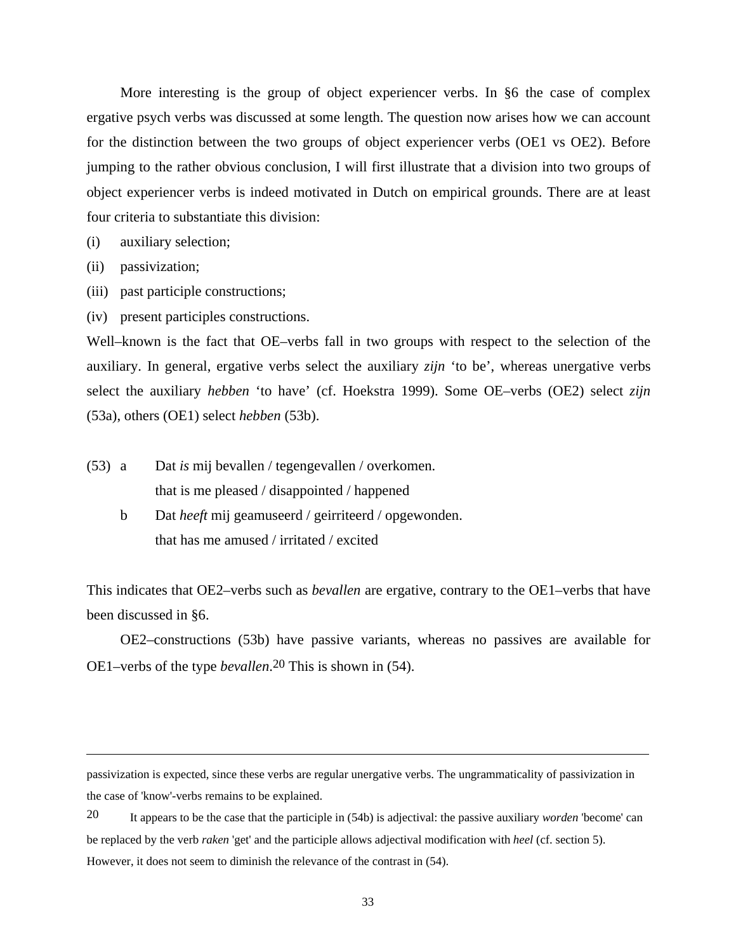More interesting is the group of object experiencer verbs. In §6 the case of complex ergative psych verbs was discussed at some length. The question now arises how we can account for the distinction between the two groups of object experiencer verbs (OE1 vs OE2). Before jumping to the rather obvious conclusion, I will first illustrate that a division into two groups of object experiencer verbs is indeed motivated in Dutch on empirical grounds. There are at least four criteria to substantiate this division:

- (i) auxiliary selection;
- (ii) passivization;

l

- (iii) past participle constructions;
- (iv) present participles constructions.

Well–known is the fact that OE–verbs fall in two groups with respect to the selection of the auxiliary. In general, ergative verbs select the auxiliary *zijn* 'to be', whereas unergative verbs select the auxiliary *hebben* 'to have' (cf. Hoekstra 1999). Some OE–verbs (OE2) select *zijn* (53a), others (OE1) select *hebben* (53b).

- (53) a Dat *is* mij bevallen / tegengevallen / overkomen. that is me pleased / disappointed / happened
	- b Dat *heeft* mij geamuseerd / geirriteerd / opgewonden. that has me amused / irritated / excited

This indicates that OE2–verbs such as *bevallen* are ergative, contrary to the OE1–verbs that have been discussed in §6.

OE2–constructions (53b) have passive variants, whereas no passives are available for OE1–verbs of the type *bevallen*. 20 This is shown in (54).

passivization is expected, since these verbs are regular unergative verbs. The ungrammaticality of passivization in the case of 'know'-verbs remains to be explained.

<sup>20</sup> It appears to be the case that the participle in (54b) is adjectival: the passive auxiliary *worden* 'become' can be replaced by the verb *raken* 'get' and the participle allows adjectival modification with *heel* (cf. section 5). However, it does not seem to diminish the relevance of the contrast in (54).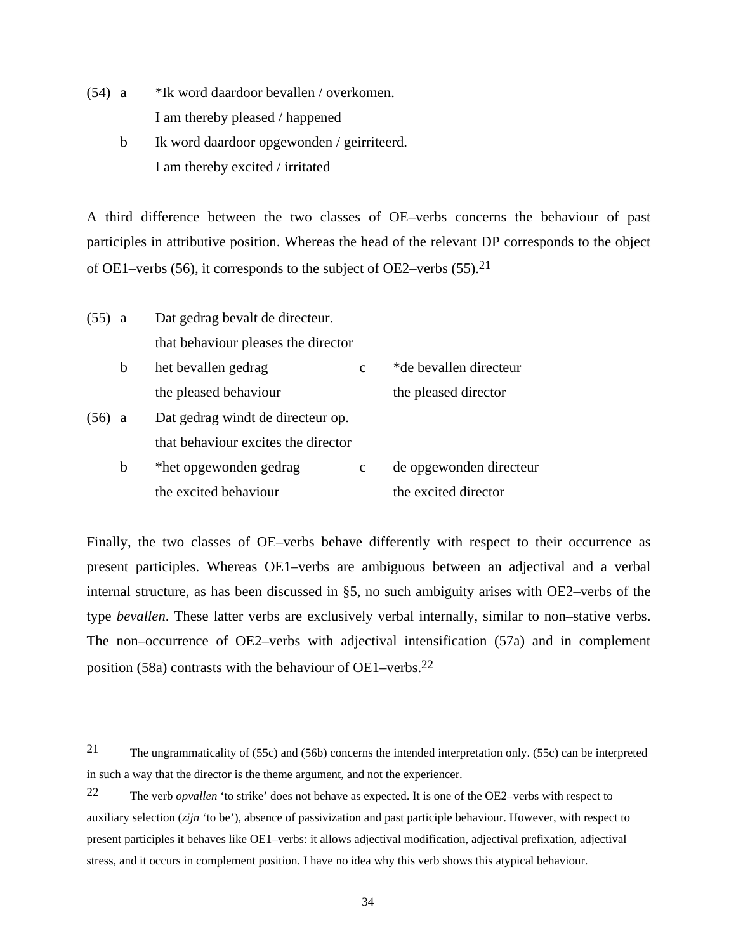- (54) a \*Ik word daardoor bevallen / overkomen. I am thereby pleased / happened
	- b Ik word daardoor opgewonden / geirriteerd. I am thereby excited / irritated

A third difference between the two classes of OE–verbs concerns the behaviour of past participles in attributive position. Whereas the head of the relevant DP corresponds to the object of OE1–verbs (56), it corresponds to the subject of OE2–verbs (55).<sup>21</sup>

- (55) a Dat gedrag bevalt de directeur. that behaviour pleases the director
	- b het bevallen gedrag c \*de bevallen directeur the pleased behaviour the pleased director
- (56) a Dat gedrag windt de directeur op. that behaviour excites the director

l

b \*het opgewonden gedrag c de opgewonden directeur the excited behaviour the excited director

Finally, the two classes of OE–verbs behave differently with respect to their occurrence as present participles. Whereas OE1–verbs are ambiguous between an adjectival and a verbal internal structure, as has been discussed in §5, no such ambiguity arises with OE2–verbs of the type *bevallen*. These latter verbs are exclusively verbal internally, similar to non–stative verbs. The non–occurrence of OE2–verbs with adjectival intensification (57a) and in complement position (58a) contrasts with the behaviour of OE1–verbs.22

<sup>21</sup> The ungrammaticality of (55c) and (56b) concerns the intended interpretation only. (55c) can be interpreted in such a way that the director is the theme argument, and not the experiencer.

<sup>22</sup> The verb *opvallen* 'to strike' does not behave as expected. It is one of the OE2–verbs with respect to auxiliary selection (*zijn* 'to be'), absence of passivization and past participle behaviour. However, with respect to present participles it behaves like OE1–verbs: it allows adjectival modification, adjectival prefixation, adjectival stress, and it occurs in complement position. I have no idea why this verb shows this atypical behaviour.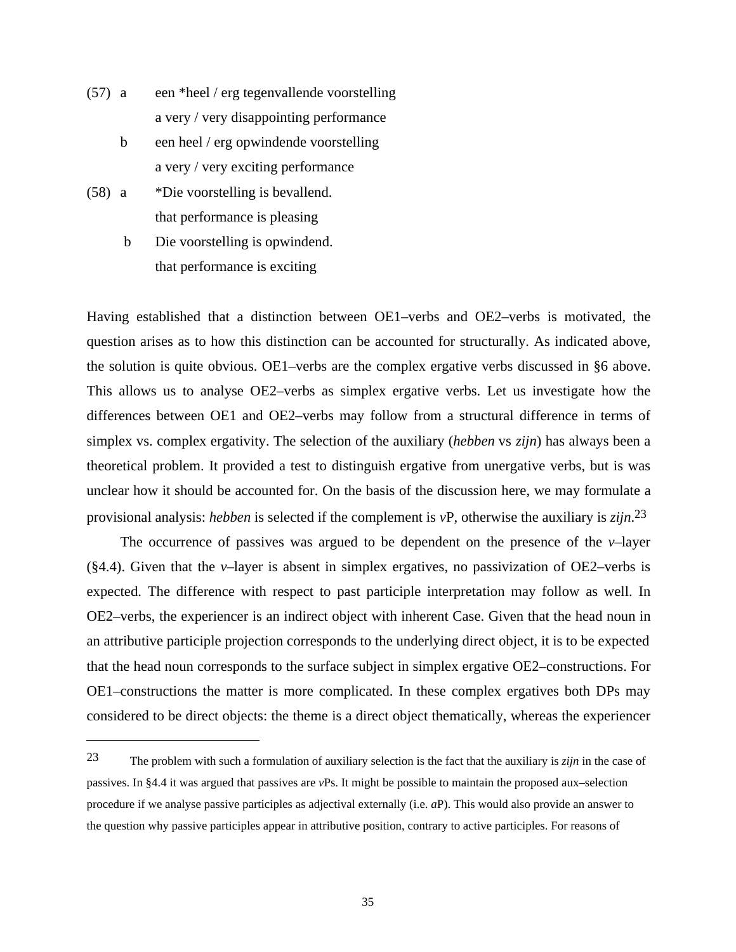- (57) a een \*heel / erg tegenvallende voorstelling a very / very disappointing performance
	- b een heel / erg opwindende voorstelling a very / very exciting performance
- (58) a \*Die voorstelling is bevallend. that performance is pleasing

l

 b Die voorstelling is opwindend. that performance is exciting

Having established that a distinction between OE1–verbs and OE2–verbs is motivated, the question arises as to how this distinction can be accounted for structurally. As indicated above, the solution is quite obvious. OE1–verbs are the complex ergative verbs discussed in §6 above. This allows us to analyse OE2–verbs as simplex ergative verbs. Let us investigate how the differences between OE1 and OE2–verbs may follow from a structural difference in terms of simplex vs. complex ergativity. The selection of the auxiliary (*hebben* vs *zijn*) has always been a theoretical problem. It provided a test to distinguish ergative from unergative verbs, but is was unclear how it should be accounted for. On the basis of the discussion here, we may formulate a provisional analysis: *hebben* is selected if the complement is *v*P, otherwise the auxiliary is *zijn*. 23

The occurrence of passives was argued to be dependent on the presence of the *v*–layer (§4.4). Given that the *v*–layer is absent in simplex ergatives, no passivization of OE2–verbs is expected. The difference with respect to past participle interpretation may follow as well. In OE2–verbs, the experiencer is an indirect object with inherent Case. Given that the head noun in an attributive participle projection corresponds to the underlying direct object, it is to be expected that the head noun corresponds to the surface subject in simplex ergative OE2–constructions. For OE1–constructions the matter is more complicated. In these complex ergatives both DPs may considered to be direct objects: the theme is a direct object thematically, whereas the experiencer

<sup>23</sup> The problem with such a formulation of auxiliary selection is the fact that the auxiliary is *zijn* in the case of passives. In §4.4 it was argued that passives are *v*Ps. It might be possible to maintain the proposed aux–selection procedure if we analyse passive participles as adjectival externally (i.e. *a*P). This would also provide an answer to the question why passive participles appear in attributive position, contrary to active participles. For reasons of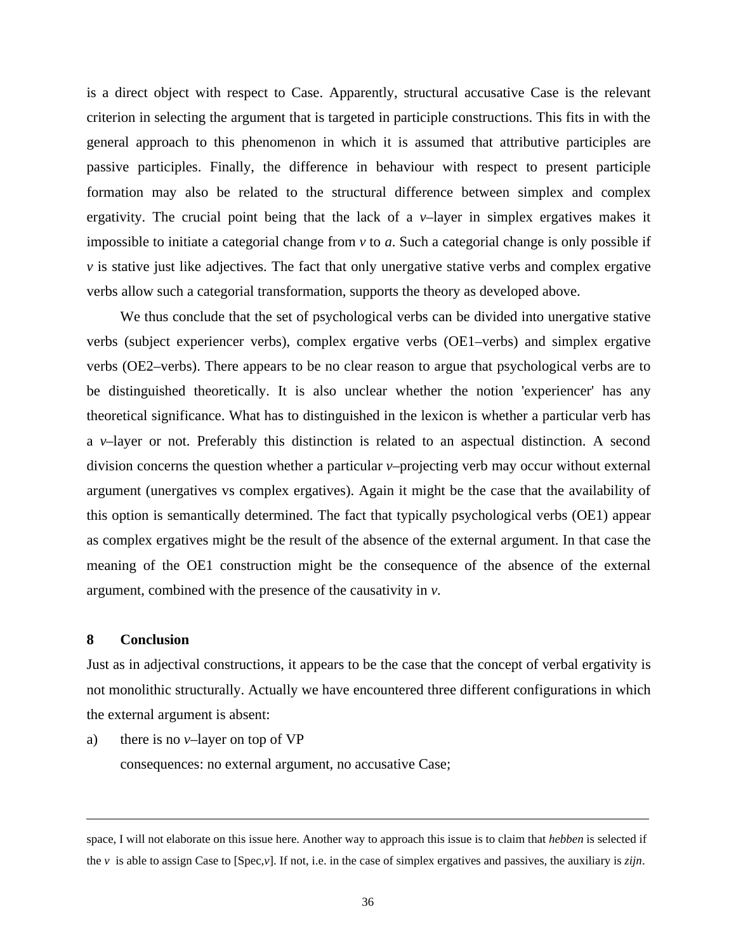is a direct object with respect to Case. Apparently, structural accusative Case is the relevant criterion in selecting the argument that is targeted in participle constructions. This fits in with the general approach to this phenomenon in which it is assumed that attributive participles are passive participles. Finally, the difference in behaviour with respect to present participle formation may also be related to the structural difference between simplex and complex ergativity. The crucial point being that the lack of a *v*–layer in simplex ergatives makes it impossible to initiate a categorial change from *v* to *a*. Such a categorial change is only possible if *v* is stative just like adjectives. The fact that only unergative stative verbs and complex ergative verbs allow such a categorial transformation, supports the theory as developed above.

We thus conclude that the set of psychological verbs can be divided into unergative stative verbs (subject experiencer verbs), complex ergative verbs (OE1–verbs) and simplex ergative verbs (OE2–verbs). There appears to be no clear reason to argue that psychological verbs are to be distinguished theoretically. It is also unclear whether the notion 'experiencer' has any theoretical significance. What has to distinguished in the lexicon is whether a particular verb has a *v*–layer or not. Preferably this distinction is related to an aspectual distinction. A second division concerns the question whether a particular *v*–projecting verb may occur without external argument (unergatives vs complex ergatives). Again it might be the case that the availability of this option is semantically determined. The fact that typically psychological verbs (OE1) appear as complex ergatives might be the result of the absence of the external argument. In that case the meaning of the OE1 construction might be the consequence of the absence of the external argument, combined with the presence of the causativity in *v*.

#### **8 Conclusion**

l

Just as in adjectival constructions, it appears to be the case that the concept of verbal ergativity is not monolithic structurally. Actually we have encountered three different configurations in which the external argument is absent:

a) there is no *v*–layer on top of VP

consequences: no external argument, no accusative Case;

space, I will not elaborate on this issue here. Another way to approach this issue is to claim that *hebben* is selected if the *v* is able to assign Case to  $[Spec, v]$ . If not, i.e. in the case of simplex ergatives and passives, the auxiliary is *zijn*.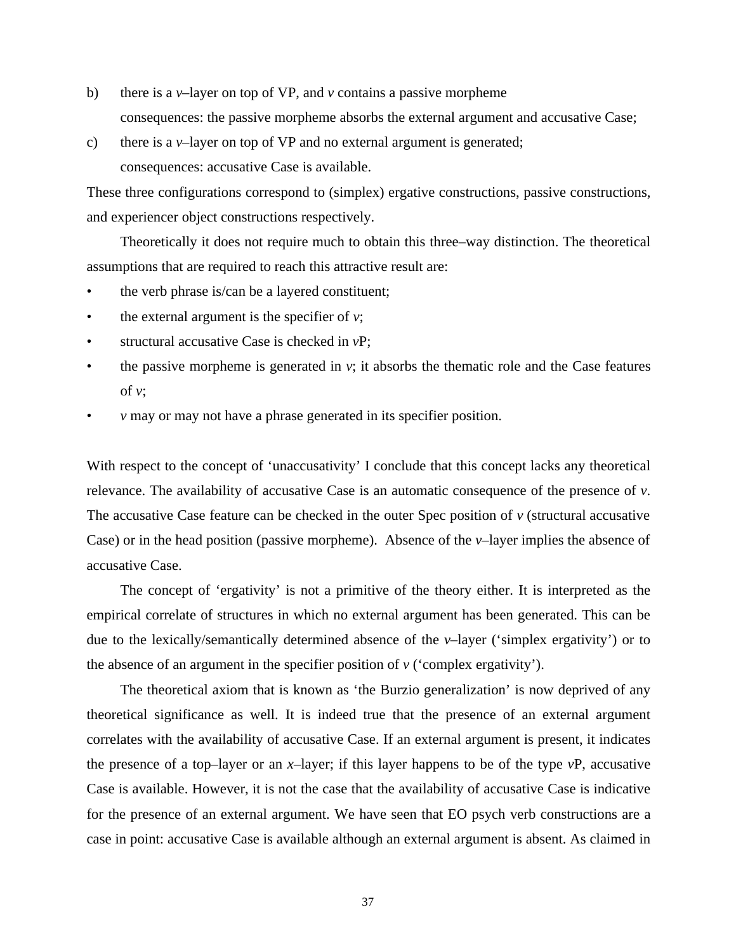- b) there is a *v*–layer on top of VP, and *v* contains a passive morpheme consequences: the passive morpheme absorbs the external argument and accusative Case;
- c) there is a *v*–layer on top of VP and no external argument is generated; consequences: accusative Case is available.

These three configurations correspond to (simplex) ergative constructions, passive constructions, and experiencer object constructions respectively.

Theoretically it does not require much to obtain this three–way distinction. The theoretical assumptions that are required to reach this attractive result are:

- the verb phrase is/can be a layered constituent;
- the external argument is the specifier of *;*
- structural accusative Case is checked in *v*P;
- the passive morpheme is generated in *v*; it absorbs the thematic role and the Case features of  $v$ ;
- *v* may or may not have a phrase generated in its specifier position.

With respect to the concept of 'unaccusativity' I conclude that this concept lacks any theoretical relevance. The availability of accusative Case is an automatic consequence of the presence of *v*. The accusative Case feature can be checked in the outer Spec position of *v* (structural accusative Case) or in the head position (passive morpheme). Absence of the *v*–layer implies the absence of accusative Case.

The concept of 'ergativity' is not a primitive of the theory either. It is interpreted as the empirical correlate of structures in which no external argument has been generated. This can be due to the lexically/semantically determined absence of the *v*–layer ('simplex ergativity') or to the absence of an argument in the specifier position of  $\nu$  ('complex ergativity').

The theoretical axiom that is known as 'the Burzio generalization' is now deprived of any theoretical significance as well. It is indeed true that the presence of an external argument correlates with the availability of accusative Case. If an external argument is present, it indicates the presence of a top–layer or an *x*–layer; if this layer happens to be of the type *v*P, accusative Case is available. However, it is not the case that the availability of accusative Case is indicative for the presence of an external argument. We have seen that EO psych verb constructions are a case in point: accusative Case is available although an external argument is absent. As claimed in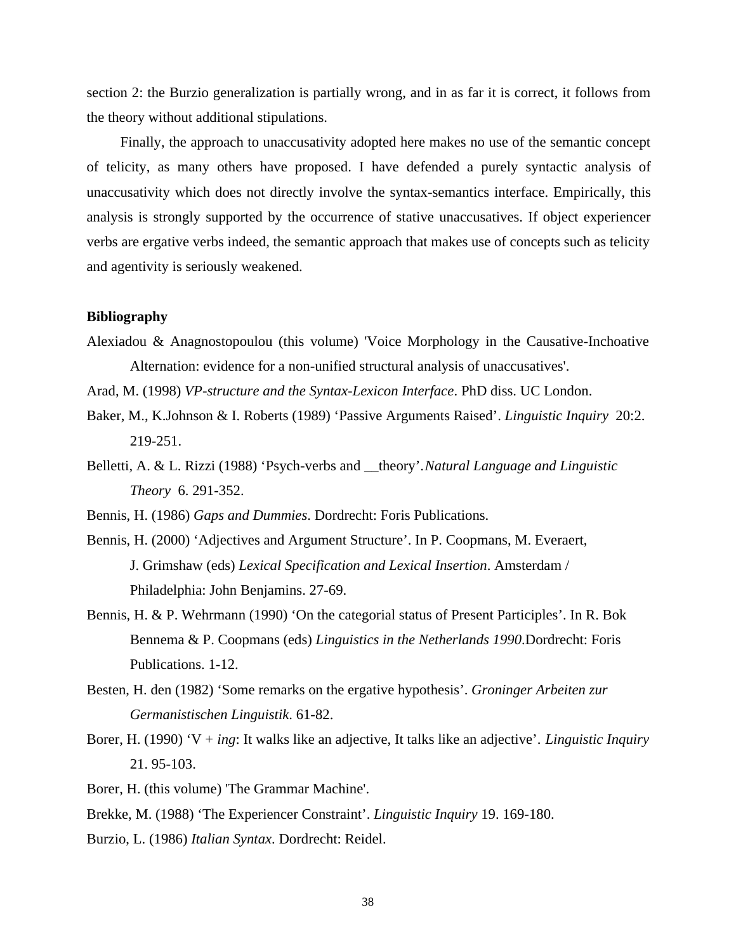section 2: the Burzio generalization is partially wrong, and in as far it is correct, it follows from the theory without additional stipulations.

Finally, the approach to unaccusativity adopted here makes no use of the semantic concept of telicity, as many others have proposed. I have defended a purely syntactic analysis of unaccusativity which does not directly involve the syntax-semantics interface. Empirically, this analysis is strongly supported by the occurrence of stative unaccusatives. If object experiencer verbs are ergative verbs indeed, the semantic approach that makes use of concepts such as telicity and agentivity is seriously weakened.

#### **Bibliography**

- Alexiadou & Anagnostopoulou (this volume) 'Voice Morphology in the Causative-Inchoative Alternation: evidence for a non-unified structural analysis of unaccusatives'.
- Arad, M. (1998) *VP-structure and the Syntax-Lexicon Interface*. PhD diss. UC London.
- Baker, M., K.Johnson & I. Roberts (1989) 'Passive Arguments Raised'. *Linguistic Inquiry* 20:2. 219-251.
- Belletti, A. & L. Rizzi (1988) 'Psych-verbs and \_\_theory'. *Natural Language and Linguistic Theory* 6. 291-352.
- Bennis, H. (1986) *Gaps and Dummies*. Dordrecht: Foris Publications.
- Bennis, H. (2000) 'Adjectives and Argument Structure'. In P. Coopmans, M. Everaert, J. Grimshaw (eds) *Lexical Specification and Lexical Insertion*. Amsterdam / Philadelphia: John Benjamins. 27-69.
- Bennis, H. & P. Wehrmann (1990) 'On the categorial status of Present Participles'. In R. Bok Bennema & P. Coopmans (eds) *Linguistics in the Netherlands 1990*.Dordrecht: Foris Publications. 1-12.
- Besten, H. den (1982) 'Some remarks on the ergative hypothesis'. *Groninger Arbeiten zur Germanistischen Linguistik*. 61-82.
- Borer, H. (1990) 'V + *ing*: It walks like an adjective, It talks like an adjective'. *Linguistic Inquiry* 21. 95-103.
- Borer, H. (this volume) 'The Grammar Machine'.
- Brekke, M. (1988) 'The Experiencer Constraint'. *Linguistic Inquiry* 19. 169-180.
- Burzio, L. (1986) *Italian Syntax*. Dordrecht: Reidel.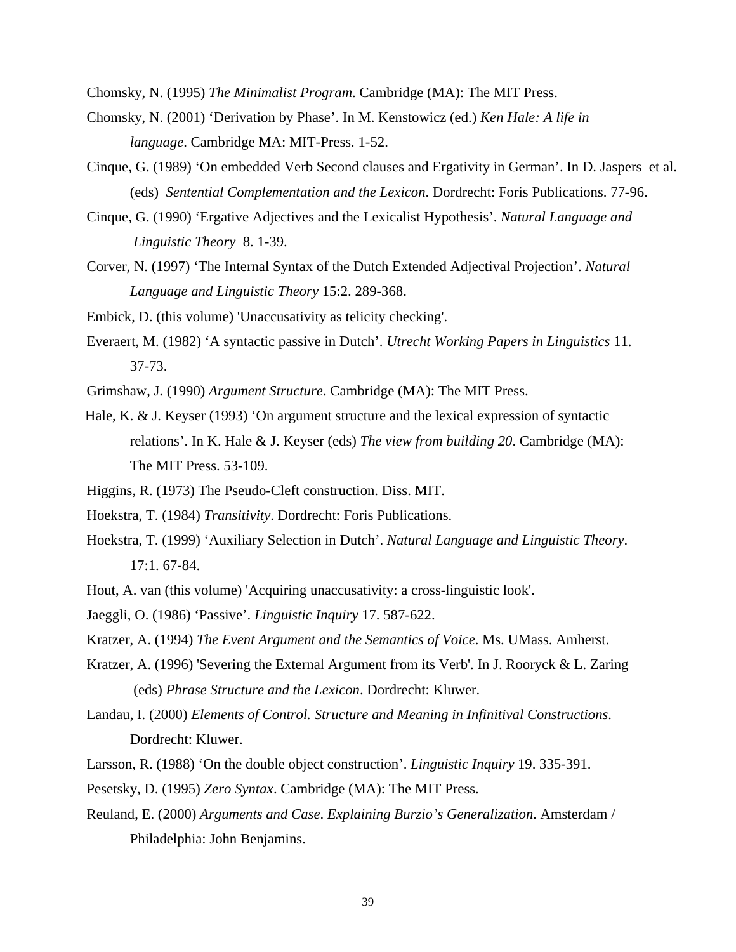Chomsky, N. (1995) *The Minimalist Program*. Cambridge (MA): The MIT Press.

- Chomsky, N. (2001) 'Derivation by Phase'. In M. Kenstowicz (ed.) *Ken Hale: A life in language*. Cambridge MA: MIT-Press. 1-52.
- Cinque, G. (1989) 'On embedded Verb Second clauses and Ergativity in German'. In D. Jaspers et al. (eds) *Sentential Complementation and the Lexicon*. Dordrecht: Foris Publications. 77-96.
- Cinque, G. (1990) 'Ergative Adjectives and the Lexicalist Hypothesis'. *Natural Language and Linguistic Theory* 8. 1-39.
- Corver, N. (1997) 'The Internal Syntax of the Dutch Extended Adjectival Projection'. *Natural Language and Linguistic Theory* 15:2. 289-368.

Embick, D. (this volume) 'Unaccusativity as telicity checking'.

- Everaert, M. (1982) 'A syntactic passive in Dutch'. *Utrecht Working Papers in Linguistics* 11. 37-73.
- Grimshaw, J. (1990) *Argument Structure*. Cambridge (MA): The MIT Press.
- Hale, K. & J. Keyser (1993) 'On argument structure and the lexical expression of syntactic relations'. In K. Hale & J. Keyser (eds) *The view from building 20*. Cambridge (MA): The MIT Press. 53-109.
- Higgins, R. (1973) The Pseudo-Cleft construction. Diss. MIT.
- Hoekstra, T. (1984) *Transitivity*. Dordrecht: Foris Publications.
- Hoekstra, T. (1999) 'Auxiliary Selection in Dutch'. *Natural Language and Linguistic Theory*. 17:1. 67-84.
- Hout, A. van (this volume) 'Acquiring unaccusativity: a cross-linguistic look'.
- Jaeggli, O. (1986) 'Passive'. *Linguistic Inquiry* 17. 587-622.
- Kratzer, A. (1994) *The Event Argument and the Semantics of Voice*. Ms. UMass. Amherst.
- Kratzer, A. (1996) 'Severing the External Argument from its Verb'. In J. Rooryck & L. Zaring (eds) *Phrase Structure and the Lexicon*. Dordrecht: Kluwer.
- Landau, I. (2000) *Elements of Control. Structure and Meaning in Infinitival Constructions*. Dordrecht: Kluwer.
- Larsson, R. (1988) 'On the double object construction'. *Linguistic Inquiry* 19. 335-391.
- Pesetsky, D. (1995) *Zero Syntax*. Cambridge (MA): The MIT Press.
- Reuland, E. (2000) *Arguments and Case*. *Explaining Burzio's Generalization*. Amsterdam / Philadelphia: John Benjamins.